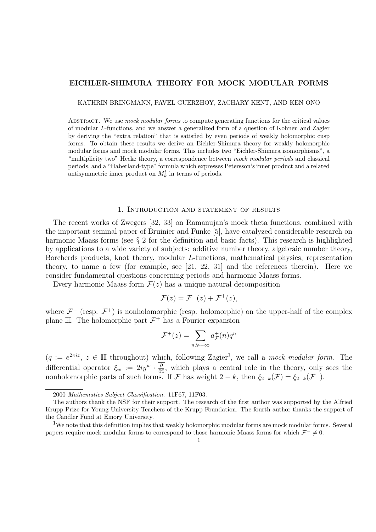# EICHLER-SHIMURA THEORY FOR MOCK MODULAR FORMS

KATHRIN BRINGMANN, PAVEL GUERZHOY, ZACHARY KENT, AND KEN ONO

ABSTRACT. We use mock modular forms to compute generating functions for the critical values of modular L-functions, and we answer a generalized form of a question of Kohnen and Zagier by deriving the "extra relation" that is satisfied by even periods of weakly holomorphic cusp forms. To obtain these results we derive an Eichler-Shimura theory for weakly holomorphic modular forms and mock modular forms. This includes two "Eichler-Shimura isomorphisms", a "multiplicity two" Hecke theory, a correspondence between mock modular periods and classical periods, and a "Haberland-type" formula which expresses Petersson's inner product and a related antisymmetric inner product on  $M_k^!$  in terms of periods.

#### 1. Introduction and statement of results

The recent works of Zwegers [32, 33] on Ramanujan's mock theta functions, combined with the important seminal paper of Bruinier and Funke [5], have catalyzed considerable research on harmonic Maass forms (see  $\S 2$  for the definition and basic facts). This research is highlighted by applications to a wide variety of subjects: additive number theory, algebraic number theory, Borcherds products, knot theory, modular L-functions, mathematical physics, representation theory, to name a few (for example, see [21, 22, 31] and the references therein). Here we consider fundamental questions concerning periods and harmonic Maass forms.

Every harmonic Maass form  $\mathcal{F}(z)$  has a unique natural decomposition

$$
\mathcal{F}(z) = \mathcal{F}^{-}(z) + \mathcal{F}^{+}(z),
$$

where  $\mathcal{F}^-$  (resp.  $\mathcal{F}^+$ ) is nonholomorphic (resp. holomorphic) on the upper-half of the complex plane  $\mathbb H$ . The holomorphic part  $\mathcal{F}^+$  has a Fourier expansion

$$
\mathcal{F}^+(z) = \sum_{n \gg -\infty} a_{\mathcal{F}}^+(n) q^n
$$

 $(q := e^{2\pi i z}, z \in \mathbb{H}$  throughout) which, following Zagier<sup>1</sup>, we call a mock modular form. The differential operator  $\xi_w := 2iy^w \cdot \frac{\partial}{\partial \overline{z}}$  $\frac{\partial}{\partial \bar{z}}$ , which plays a central role in the theory, only sees the nonholomorphic parts of such forms. If F has weight  $2 - k$ , then  $\xi_{2-k}(\mathcal{F}) = \xi_{2-k}(\mathcal{F}^{-})$ .

<sup>2000</sup> Mathematics Subject Classification. 11F67, 11F03.

The authors thank the NSF for their support. The research of the first author was supported by the Alfried Krupp Prize for Young University Teachers of the Krupp Foundation. The fourth author thanks the support of the Candler Fund at Emory University.

<sup>&</sup>lt;sup>1</sup>We note that this definition implies that weakly holomorphic modular forms are mock modular forms. Several papers require mock modular forms to correspond to those harmonic Maass forms for which  $\mathcal{F}^- \neq 0$ .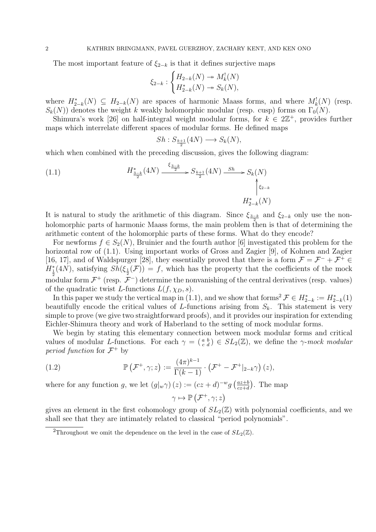The most important feature of  $\xi_{2-k}$  is that it defines surjective maps

$$
\xi_{2-k}: \begin{cases} H_{2-k}(N) \twoheadrightarrow M^!_k(N) \\ H^*_{2-k}(N) \twoheadrightarrow S_k(N), \end{cases}
$$

where  $H_{2-k}^*(N) \subseteq H_{2-k}(N)$  are spaces of harmonic Maass forms, and where  $M_k^!(N)$  (resp.  $S_k(N)$ ) denotes the weight k weakly holomorphic modular (resp. cusp) forms on  $\Gamma_0(N)$ .

Shimura's work [26] on half-integral weight modular forms, for  $k \in 2\mathbb{Z}^+$ , provides further maps which interrelate different spaces of modular forms. He defined maps

$$
Sh: S_{\frac{k+1}{2}}(4N) \longrightarrow S_k(N),
$$

which when combined with the preceding discussion, gives the following diagram:

(1.1) 
$$
H_{\frac{3-k}{2}}^{*}(4N) \xrightarrow{\xi_{\frac{3-k}{2}}} S_{\frac{k+1}{2}}(4N) \xrightarrow{Sh} S_{k}(N)
$$
\n
$$
\uparrow_{\xi_{2-k}}
$$
\n
$$
H_{2-k}^{*}(N)
$$

It is natural to study the arithmetic of this diagram. Since  $\xi_{\frac{3-k}{2}}$  and  $\xi_{2-k}$  only use the nonholomorphic parts of harmonic Maass forms, the main problem then is that of determining the arithmetic content of the holomorphic parts of these forms. What do they encode?

For newforms  $f \in S_2(N)$ , Bruinier and the fourth author [6] investigated this problem for the horizontal row of  $(1.1)$ . Using important works of Gross and Zagier [9], of Kohnen and Zagier [16, 17], and of Waldspurger [28], they essentially proved that there is a form  $\mathcal{F} = \mathcal{F}^- + \mathcal{F}^+ \in$  $H_{\frac{1}{2}}^{*}(4N)$ , satisfying  $Sh(\xi_{\frac{1}{2}}(\mathcal{F}))=f$ , which has the property that the coefficients of the mock modular form  $\mathcal{F}^+$  (resp.  $\mathcal{F}^-$ ) determine the nonvanishing of the central derivatives (resp. values) of the quadratic twist L-functions  $L(f, \chi_D, s)$ .

In this paper we study the vertical map in (1.1), and we show that forms<sup>2</sup>  $\mathcal{F} \in H_{2-k}^* := H_{2-k}^*(1)$ beautifully encode the critical values of L-functions arising from  $S_k$ . This statement is very simple to prove (we give two straightforward proofs), and it provides our inspiration for extending Eichler-Shimura theory and work of Haberland to the setting of mock modular forms.

We begin by stating this elementary connection between mock modular forms and critical values of modular L-functions. For each  $\gamma = \begin{pmatrix} a & b \\ c & d \end{pmatrix} \in SL_2(\mathbb{Z})$ , we define the  $\gamma$ -mock modular period function for  $\mathcal{F}^+$  by

(1.2) 
$$
\mathbb{P}\left(\mathcal{F}^+,\gamma;z\right):=\frac{(4\pi)^{k-1}}{\Gamma(k-1)}\cdot\left(\mathcal{F}^+-\mathcal{F}^+|_{2-k}\gamma\right)(z),
$$

where for any function g, we let  $(g|_w\gamma)(z) := (cz+d)^{-w}g\left(\frac{az+b}{cz+d}\right)$  $\frac{az+b}{cz+d}$ . The map

$$
\gamma \mapsto \mathbb{P}\left(\mathcal{F}^+, \gamma; z\right)
$$

gives an element in the first cohomology group of  $SL_2(\mathbb{Z})$  with polynomial coefficients, and we shall see that they are intimately related to classical "period polynomials".

<sup>&</sup>lt;sup>2</sup>Throughout we omit the dependence on the level in the case of  $SL_2(\mathbb{Z})$ .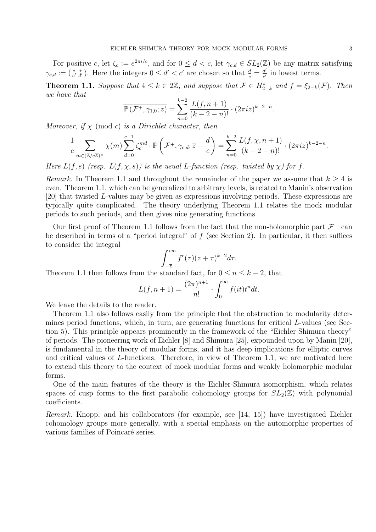For positive c, let  $\zeta_c := e^{2\pi i/c}$ , and for  $0 \leq d < c$ , let  $\gamma_{c,d} \in SL_2(\mathbb{Z})$  be any matrix satisfying  $\gamma_{c,d} := (\begin{smallmatrix} * & * \\ c' & d' \end{smallmatrix})$ . Here the integers  $0 \leq d' < c'$  are chosen so that  $\frac{d}{c} = \frac{d'}{c'}$  $\frac{d'}{c'}$  in lowest terms.

**Theorem 1.1.** Suppose that  $4 \leq k \in 2\mathbb{Z}$ , and suppose that  $\mathcal{F} \in H_{2-k}^*$  and  $f = \xi_{2-k}(\mathcal{F})$ . Then we have that

$$
\overline{\mathbb{P}\left(\mathcal{F}^+,\gamma_{1,0};\overline{z}\right)} = \sum_{n=0}^{k-2} \frac{L(f,n+1)}{(k-2-n)!} \cdot (2\pi i z)^{k-2-n}.
$$

Moreover, if  $\chi$  (mod c) is a Dirichlet character, then

$$
\frac{1}{c}\sum_{m\in(\mathbb{Z}/c\mathbb{Z})^{\times}}\chi(m)\sum_{d=0}^{c-1}\zeta_c^{md}\cdot\overline{\mathbb{P}\left(\mathcal{F}^+,\gamma_{c,d};\overline{z}-\frac{d}{c}\right)}=\sum_{n=0}^{k-2}\frac{L(f,\chi,n+1)}{(k-2-n)!}\cdot(2\pi iz)^{k-2-n}.
$$

Here  $L(f, s)$  (resp.  $L(f, \chi, s)$ ) is the usual L-function (resp. twisted by  $\chi$ ) for f.

Remark. In Theorem 1.1 and throughout the remainder of the paper we assume that  $k \geq 4$  is even. Theorem 1.1, which can be generalized to arbitrary levels, is related to Manin's observation [20] that twisted L-values may be given as expressions involving periods. These expressions are typically quite complicated. The theory underlying Theorem 1.1 relates the mock modular periods to such periods, and then gives nice generating functions.

Our first proof of Theorem 1.1 follows from the fact that the non-holomorphic part  $\mathcal{F}^-$  can be described in terms of a "period integral" of  $f$  (see Section 2). In particular, it then suffices to consider the integral

$$
\int_{-\overline{z}}^{i\infty} f^c(\tau) (z+\tau)^{k-2} d\tau.
$$

Theorem 1.1 then follows from the standard fact, for  $0 \le n \le k-2$ , that

$$
L(f, n+1) = \frac{(2\pi)^{n+1}}{n!} \cdot \int_0^\infty f(it) t^n dt.
$$

We leave the details to the reader.

Theorem 1.1 also follows easily from the principle that the obstruction to modularity determines period functions, which, in turn, are generating functions for critical L-values (see Section 5). This principle appears prominently in the framework of the "Eichler-Shimura theory" of periods. The pioneering work of Eichler [8] and Shimura [25], expounded upon by Manin [20], is fundamental in the theory of modular forms, and it has deep implications for elliptic curves and critical values of L-functions. Therefore, in view of Theorem 1.1, we are motivated here to extend this theory to the context of mock modular forms and weakly holomorphic modular forms.

One of the main features of the theory is the Eichler-Shimura isomorphism, which relates spaces of cusp forms to the first parabolic cohomology groups for  $SL_2(\mathbb{Z})$  with polynomial coefficients.

Remark. Knopp, and his collaborators (for example, see [14, 15]) have investigated Eichler cohomology groups more generally, with a special emphasis on the automorphic properties of various families of Poincaré series.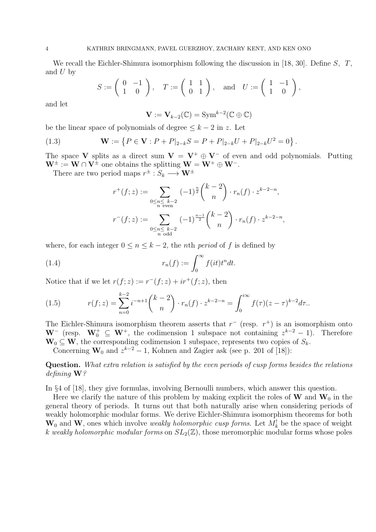We recall the Eichler-Shimura isomorphism following the discussion in [18, 30]. Define S, T, and  $U$  by

$$
S := \left(\begin{array}{cc} 0 & -1 \\ 1 & 0 \end{array}\right), \quad T := \left(\begin{array}{cc} 1 & 1 \\ 0 & 1 \end{array}\right), \quad \text{and} \quad U := \left(\begin{array}{cc} 1 & -1 \\ 1 & 0 \end{array}\right),
$$

and let

$$
\mathbf{V} := \mathbf{V}_{k-2}(\mathbb{C}) = \mathrm{Sym}^{k-2}(\mathbb{C} \oplus \mathbb{C})
$$

be the linear space of polynomials of degree  $\leq k-2$  in z. Let

(1.3) 
$$
\mathbf{W} := \left\{ P \in \mathbf{V} : P + P|_{2-k} S = P + P|_{2-k} U + P|_{2-k} U^2 = 0 \right\}.
$$

The space V splits as a direct sum  $V = V^+ \oplus V^-$  of even and odd polynomials. Putting  $W^{\pm} := W \cap V^{\pm}$  one obtains the splitting  $W = W^+ \oplus W^-$ .

There are two period maps  $r^{\pm}: S_k \longrightarrow \mathbf{W}^{\pm}$ 

$$
r^+(f;z) := \sum_{\substack{0 \le n \le k-2 \\ n \text{ even}}} (-1)^{\frac{n}{2}} {k-2 \choose n} \cdot r_n(f) \cdot z^{k-2-n},
$$
  

$$
r^-(f;z) := \sum_{\substack{0 \le n \le k-2 \\ n \text{ odd}}} (-1)^{\frac{n-1}{2}} {k-2 \choose n} \cdot r_n(f) \cdot z^{k-2-n},
$$

where, for each integer  $0 \le n \le k-2$ , the *n*th *period* of f is defined by

(1.4) 
$$
r_n(f) := \int_0^\infty f(it)t^n dt.
$$

Notice that if we let  $r(f; z) := r^-(f; z) + ir^+(f; z)$ , then

(1.5) 
$$
r(f; z) = \sum_{n=0}^{k-2} i^{-n+1} {k-2 \choose n} \cdot r_n(f) \cdot z^{k-2-n} = \int_0^{i\infty} f(\tau)(z-\tau)^{k-2} d\tau.
$$

The Eichler-Shimura isomorphism theorem asserts that  $r^-$  (resp.  $r^+$ ) is an isomorphism onto  $\mathbf{W}^-$  (resp.  $\mathbf{W}_0^+ \subseteq \mathbf{W}^+$ , the codimension 1 subspace not containing  $z^{k-2} - 1$ ). Therefore  $\mathbf{W}_0 \subseteq \mathbf{W}$ , the corresponding codimension 1 subspace, represents two copies of  $S_k$ .

Concerning  $\mathbf{W}_0$  and  $z^{k-2} - 1$ , Kohnen and Zagier ask (see p. 201 of [18]):

Question. What extra relation is satisfied by the even periods of cusp forms besides the relations defining **W**?

In §4 of [18], they give formulas, involving Bernoulli numbers, which answer this question.

Here we clarify the nature of this problem by making explicit the roles of  $W$  and  $W_0$  in the general theory of periods. It turns out that both naturally arise when considering periods of weakly holomorphic modular forms. We derive Eichler-Shimura isomorphism theorems for both  $W_0$  and W, ones which involve *weakly holomorphic cusp forms*. Let  $M_k^!$  be the space of weight k weakly holomorphic modular forms on  $SL_2(\mathbb{Z})$ , those meromorphic modular forms whose poles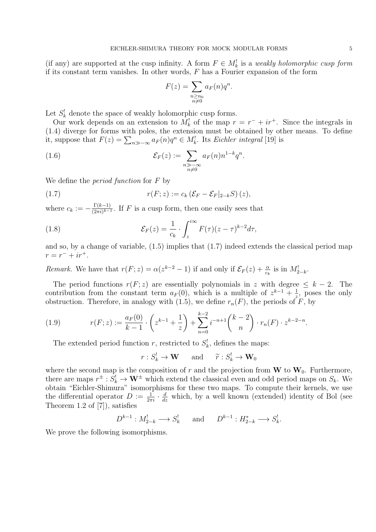(if any) are supported at the cusp infinity. A form  $F \in M_k^!$  is a weakly holomorphic cusp form if its constant term vanishes. In other words,  $F$  has a Fourier expansion of the form

$$
F(z) = \sum_{\substack{n \ge n_0 \\ n \neq 0}} a_F(n) q^n.
$$

Let  $S_k^!$  denote the space of weakly holomorphic cusp forms.

Our work depends on an extension to  $M_k^!$  of the map  $r = r^- + ir^+$ . Since the integrals in (1.4) diverge for forms with poles, the extension must be obtained by other means. To define it, suppose that  $F(z) = \sum_{n \gg -\infty} a_F(n)q^n \in M_k^!$ . Its Eichler integral [19] is

(1.6) 
$$
\mathcal{E}_F(z) := \sum_{\substack{n \gg -\infty \\ n \neq 0}} a_F(n) n^{1-k} q^n.
$$

We define the *period function* for F by

$$
(1.7) \t\t\t r(F; z) := c_k \left( \mathcal{E}_F - \mathcal{E}_F |_{2-k} S \right)(z),
$$

where  $c_k := -\frac{\Gamma(k-1)}{(2\pi i)^{k-1}}$  $\frac{1(k-1)}{(2\pi i)^{k-1}}$ . If F is a cusp form, then one easily sees that

(1.8) 
$$
\mathcal{E}_F(z) = \frac{1}{c_k} \cdot \int_z^{i\infty} F(\tau)(z-\tau)^{k-2} d\tau,
$$

and so, by a change of variable, (1.5) implies that (1.7) indeed extends the classical period map  $r = r^- + ir^+.$ 

Remark. We have that  $r(F; z) = \alpha(z^{k-2} - 1)$  if and only if  $\mathcal{E}_F(z) + \frac{\alpha}{c_k}$  is in  $M_{2-k}^!$ .

The period functions  $r(F; z)$  are essentially polynomials in z with degree  $\leq k - 2$ . The contribution from the constant term  $a_F(0)$ , which is a multiple of  $z^{k-1} + \frac{1}{z}$  $\frac{1}{z}$ , poses the only obstruction. Therefore, in analogy with (1.5), we define  $r_n(F)$ , the periods of F, by

(1.9) 
$$
r(F; z) := \frac{a_F(0)}{k-1} \cdot \left( z^{k-1} + \frac{1}{z} \right) + \sum_{n=0}^{k-2} i^{-n+1} {k-2 \choose n} \cdot r_n(F) \cdot z^{k-2-n}.
$$

The extended period function r, restricted to  $S_k^!$ , defines the maps:

$$
r: S_k^! \to \mathbf{W} \quad \text{and} \quad \tilde{r}: S_k^! \to \mathbf{W}_0
$$

where the second map is the composition of r and the projection from W to  $W_0$ . Furthermore, there are maps  $r^{\pm} : S_k^! \to \mathbf{W}^{\pm}$  which extend the classical even and odd period maps on  $S_k$ . We obtain "Eichler-Shimura" isomorphisms for these two maps. To compute their kernels, we use the differential operator  $D := \frac{1}{2\pi i} \cdot \frac{d}{dz}$  which, by a well known (extended) identity of Bol (see Theorem 1.2 of [7]), satisfies

$$
D^{k-1}: M_{2-k}^! \longrightarrow S_k^! \quad \text{and} \quad D^{k-1}: H_{2-k}^* \longrightarrow S_k^!.
$$

We prove the following isomorphisms.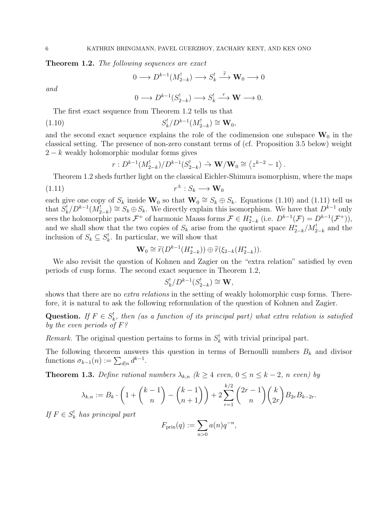Theorem 1.2. The following sequences are exact

$$
0 \longrightarrow D^{k-1}(M_{2-k}^!) \longrightarrow S_k^! \stackrel{\widetilde{r}}{\longrightarrow} \mathbf{W}_0 \longrightarrow 0
$$

and

$$
0 \longrightarrow D^{k-1}(S_{2-k}^!) \longrightarrow S_k^! \stackrel{r}{\longrightarrow} \mathbf{W} \longrightarrow 0.
$$

The first exact sequence from Theorem 1.2 tells us that

(1.10) 
$$
S_k^! / D^{k-1}(M_{2-k}^!) \cong \mathbf{W}_0,
$$

and the second exact sequence explains the role of the codimension one subspace  $W_0$  in the classical setting. The presence of non-zero constant terms of (cf. Proposition 3.5 below) weight  $2 - k$  weakly holomorphic modular forms gives

$$
r: D^{k-1}(M_{2-k}^!) / D^{k-1}(S_{2-k}^!) \stackrel{\sim}{\to} \mathbf{W}/\mathbf{W}_0 \cong \langle z^{k-2} - 1 \rangle.
$$

Theorem 1.2 sheds further light on the classical Eichler-Shimura isomorphism, where the maps  $(1.11)$  $r^{\pm}: S_k \longrightarrow \mathbf{W}_0$ 

each give one copy of  $S_k$  inside  $\mathbf{W}_0$  so that  $\mathbf{W}_0 \cong S_k \oplus S_k$ . Equations (1.10) and (1.11) tell us that  $S_k^! / D^{k-1}(M_{2-k}^!) \cong S_k \oplus S_k$ . We directly explain this isomorphism. We have that  $D^{k-1}$  only sees the holomorphic parts  $\mathcal{F}^+$  of harmonic Maass forms  $\mathcal{F} \in H_{2-k}^*$  (i.e.  $D^{k-1}(\mathcal{F}) = D^{k-1}(\mathcal{F}^+))$ , and we shall show that the two copies of  $S_k$  arise from the quotient space  $H_{2-k}^*/M_{2-k}^!$  and the inclusion of  $S_k \subseteq S_k^!$ . In particular, we will show that

$$
\mathbf{W}_0 \cong \widetilde{r}(D^{k-1}(H_{2-k}^*)) \oplus \widetilde{r}(\xi_{2-k}(H_{2-k}^*)).
$$

We also revisit the question of Kohnen and Zagier on the "extra relation" satisfied by even periods of cusp forms. The second exact sequence in Theorem 1.2,

$$
S_k^! / D^{k-1}(S_{2-k}^!) \cong \mathbf{W},
$$

shows that there are no *extra relations* in the setting of weakly holomorphic cusp forms. Therefore, it is natural to ask the following reformulation of the question of Kohnen and Zagier.

Question. If  $F \in S_k^!$ , then (as a function of its principal part) what extra relation is satisfied by the even periods of  $F$ ?

Remark. The original question pertains to forms in  $S_k^!$  with trivial principal part.

The following theorem answers this question in terms of Bernoulli numbers  $B_k$  and divisor functions  $\sigma_{k-1}(n) := \sum_{d|n} d^{k-1}$ .

**Theorem 1.3.** Define rational numbers  $\lambda_{k,n}$  ( $k \geq 4$  even,  $0 \leq n \leq k-2$ , n even) by

$$
\lambda_{k,n} := B_k \cdot \left( 1 + \binom{k-1}{n} - \binom{k-1}{n+1} \right) + 2 \sum_{r=1}^{k/2} \binom{2r-1}{n} \binom{k}{2r} B_{2r} B_{k-2r}.
$$

If  $F \in S_k^!$  has principal part

$$
F_{\text{prin}}(q) := \sum_{n>0} a(n)q^{-n},
$$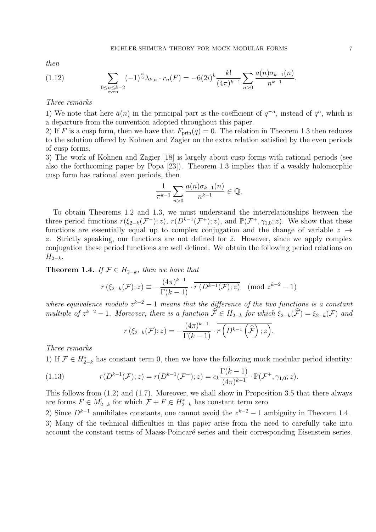then

(1.12) 
$$
\sum_{\substack{0 \le n \le k-2 \\ \text{even}}} (-1)^{\frac{n}{2}} \lambda_{k,n} \cdot r_n(F) = -6(2i)^k \frac{k!}{(4\pi)^{k-1}} \sum_{n>0} \frac{a(n)\sigma_{k-1}(n)}{n^{k-1}}.
$$

## Three remarks

1) We note that here  $a(n)$  in the principal part is the coefficient of  $q^{-n}$ , instead of  $q^n$ , which is a departure from the convention adopted throughout this paper.

2) If F is a cusp form, then we have that  $F_{\text{prin}}(q) = 0$ . The relation in Theorem 1.3 then reduces to the solution offered by Kohnen and Zagier on the extra relation satisfied by the even periods of cusp forms.

3) The work of Kohnen and Zagier [18] is largely about cusp forms with rational periods (see also the forthcoming paper by Popa [23]). Theorem 1.3 implies that if a weakly holomorphic cusp form has rational even periods, then

$$
\frac{1}{\pi^{k-1}}\sum_{n>0}\frac{a(n)\sigma_{k-1}(n)}{n^{k-1}}\in\mathbb{Q}.
$$

To obtain Theorems 1.2 and 1.3, we must understand the interrelationships between the three period functions  $r(\xi_{2-k}(\mathcal{F}^{-}); z)$ ,  $r(D^{k-1}(\mathcal{F}^{+}); z)$ , and  $\mathbb{P}(\mathcal{F}^{+}, \gamma_{1,0}; z)$ . We show that these functions are essentially equal up to complex conjugation and the change of variable  $z \rightarrow$  $\overline{z}$ . Strictly speaking, our functions are not defined for  $\overline{z}$ . However, since we apply complex conjugation these period functions are well defined. We obtain the following period relations on  $H_{2-k}$ .

Theorem 1.4. If  $\mathcal{F} \in H_{2-k}$ , then we have that

$$
r\left(\xi_{2-k}(\mathcal{F});z\right) \equiv -\frac{(4\pi)^{k-1}}{\Gamma(k-1)} \cdot \overline{r\left(D^{k-1}(\mathcal{F});\overline{z}\right)} \pmod{z^{k-2}-1}
$$

where equivalence modulo  $z^{k-2} - 1$  means that the difference of the two functions is a constant multiple of  $z^{k-2} - 1$ . Moreover, there is a function  $\widehat{F} \in H_{2-k}$  for which  $\xi_{2-k}(\widehat{F}) = \xi_{2-k}(\widehat{F})$  and

$$
r(\xi_{2-k}(\mathcal{F});z)=-\frac{(4\pi)^{k-1}}{\Gamma(k-1)}\cdot\overline{r(D^{k-1}(\widehat{\mathcal{F}});\overline{z})}.
$$

Three remarks

1) If  $\mathcal{F} \in H_{2-k}^*$  has constant term 0, then we have the following mock modular period identity:

(1.13) 
$$
r(D^{k-1}(\mathcal{F}); z) = r(D^{k-1}(\mathcal{F}^+); z) = c_k \frac{\Gamma(k-1)}{(4\pi)^{k-1}} \cdot \mathbb{P}(\mathcal{F}^+, \gamma_{1,0}; z).
$$

This follows from (1.2) and (1.7). Moreover, we shall show in Proposition 3.5 that there always are forms  $F \in M_{2-k}^!$  for which  $\mathcal{F} + F \in H_{2-k}^*$  has constant term zero.

2) Since  $D^{k-1}$  annihilates constants, one cannot avoid the  $z^{k-2} - 1$  ambiguity in Theorem 1.4. 3) Many of the technical difficulties in this paper arise from the need to carefully take into account the constant terms of Maass-Poincaré series and their corresponding Eisenstein series.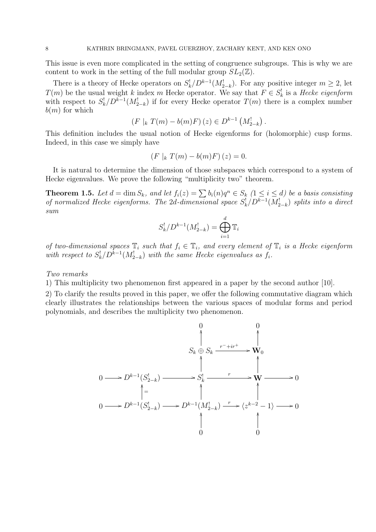This issue is even more complicated in the setting of congruence subgroups. This is why we are content to work in the setting of the full modular group  $SL_2(\mathbb{Z})$ .

There is a theory of Hecke operators on  $S_k^! / D^{k-1}(M_{2-k}^!)$ . For any positive integer  $m \geq 2$ , let  $T(m)$  be the usual weight k index m Hecke operator. We say that  $F \in S_k^!$  is a Hecke eigenform with respect to  $S_k^! / D^{k-1}(M_{2-k}^!)$  if for every Hecke operator  $T(m)$  there is a complex number  $b(m)$  for which

$$
(F |_{k} T(m) - b(m)F)(z) \in D^{k-1} (M_{2-k}^{!}).
$$

This definition includes the usual notion of Hecke eigenforms for (holomorphic) cusp forms. Indeed, in this case we simply have

$$
(F |_{k} T(m) - b(m)F)(z) = 0.
$$

It is natural to determine the dimension of those subspaces which correspond to a system of Hecke eigenvalues. We prove the following "multiplicity two" theorem.

**Theorem 1.5.** Let  $d = \dim S_k$ , and let  $f_i(z) = \sum b_i(n)q^n \in S_k$   $(1 \leq i \leq d)$  be a basis consisting of normalized Hecke eigenforms. The 2d-dimensional space  $S_k^! / D^{k-1}(M_{2-k}^!)$  splits into a direct sum

$$
S_k^! / D^{k-1}(M_{2-k}^!) = \bigoplus_{i=1}^d \mathbb{T}_i
$$

of two-dimensional spaces  $\mathbb{T}_i$  such that  $f_i \in \mathbb{T}_i$ , and every element of  $\mathbb{T}_i$  is a Hecke eigenform with respect to  $S_k^! / D^{k-1}(M_{2-k}^!)$  with the same Hecke eigenvalues as  $f_i$ .

Two remarks

1) This multiplicity two phenomenon first appeared in a paper by the second author [10].

2) To clarify the results proved in this paper, we offer the following commutative diagram which clearly illustrates the relationships between the various spaces of modular forms and period polynomials, and describes the multiplicity two phenomenon.

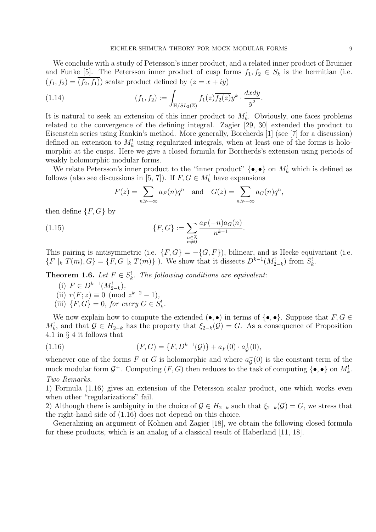We conclude with a study of Petersson's inner product, and a related inner product of Bruinier and Funke [5]. The Petersson inner product of cusp forms  $f_1, f_2 \in S_k$  is the hermitian (i.e.  $(f_1, f_2) = \overline{(f_2, f_1)}$  scalar product defined by  $(z = x + iy)$ 

(1.14) 
$$
(f_1, f_2) := \int_{\mathbb{H}/SL_2(\mathbb{Z})} f_1(z) \overline{f_2(z)} y^k \cdot \frac{dxdy}{y^2}.
$$

It is natural to seek an extension of this inner product to  $M_k^!$ . Obviously, one faces problems related to the convergence of the defining integral. Zagier [29, 30] extended the product to Eisenstein series using Rankin's method. More generally, Borcherds [1] (see [7] for a discussion) defined an extension to  $M_k^!$  using regularized integrals, when at least one of the forms is holomorphic at the cusps. Here we give a closed formula for Borcherds's extension using periods of weakly holomorphic modular forms.

We relate Petersson's inner product to the "inner product"  $\{\bullet, \bullet\}$  on  $M_k^!$  which is defined as follows (also see discussions in [5, 7]). If  $F, G \in M_k^!$  have expansions

$$
F(z) = \sum_{n \gg -\infty} a_F(n)q^n \text{ and } G(z) = \sum_{n \gg -\infty} a_G(n)q^n,
$$

then define  $\{F, G\}$  by

(1.15) 
$$
\{F, G\} := \sum_{\substack{n \in \mathbb{Z} \\ n \neq 0}} \frac{a_F(-n)a_G(n)}{n^{k-1}}.
$$

This pairing is antisymmetric (i.e.  $\{F, G\} = -\{G, F\}$ ), bilinear, and is Hecke equivariant (i.e.  ${F | k T(m), G} = {F, G | k T(m)}$ . We show that it dissects  $D^{k-1}(M'_{2-k})$  from  $S'_{k}$ .

**Theorem 1.6.** Let  $F \in S_k^!$ . The following conditions are equivalent:

(i)  $F \in D^{k-1}(M_{2-k}^!)$ ,

(ii) 
$$
r(F; z) \equiv 0 \pmod{z^{k-2} - 1}
$$
,

(iii)  $\{F, G\} = 0$ , for every  $G \in S^!_k$ .

We now explain how to compute the extended  $(\bullet, \bullet)$  in terms of  $\{\bullet, \bullet\}$ . Suppose that  $F, G \in$  $M_k^!$ , and that  $\mathcal{G} \in H_{2-k}$  has the property that  $\xi_{2-k}(\mathcal{G}) = G$ . As a consequence of Proposition 4.1 in § 4 it follows that

(1.16) 
$$
(F, G) = \{F, D^{k-1}(\mathcal{G})\} + a_F(0) \cdot a_{\mathcal{G}}^+(0),
$$

whenever one of the forms F or G is holomorphic and where  $a_{\mathcal{C}}^+$  $\sigma_{\mathcal{G}}^{+}(0)$  is the constant term of the mock modular form  $\mathcal{G}^+$ . Computing  $(F, G)$  then reduces to the task of computing  $\{\bullet, \bullet\}$  on  $M_k^!$ . Two Remarks.

1) Formula (1.16) gives an extension of the Petersson scalar product, one which works even when other "regularizations" fail.

2) Although there is ambiguity in the choice of  $\mathcal{G} \in H_{2-k}$  such that  $\xi_{2-k}(\mathcal{G}) = G$ , we stress that the right-hand side of (1.16) does not depend on this choice.

Generalizing an argument of Kohnen and Zagier [18], we obtain the following closed formula for these products, which is an analog of a classical result of Haberland [11, 18].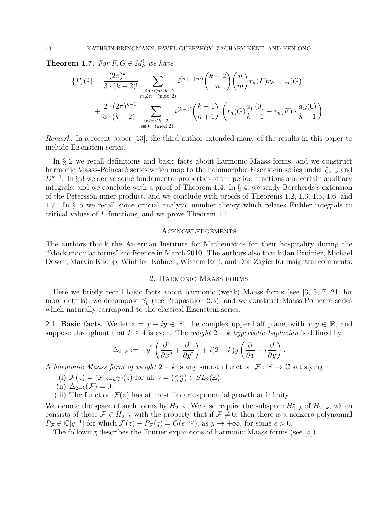**Theorem 1.7.** For  $F, G \in M_k^!$  we have

$$
\{F, G\} = \frac{(2\pi)^{k-1}}{3 \cdot (k-2)!} \sum_{\substack{0 \le m < n \le k-2 \\ m \ne n \pmod{2}}} i^{(n+1+m)} \binom{k-2}{n} \binom{n}{m} r_n(F) r_{k-2-m}(G)
$$
  
+ 
$$
\frac{2 \cdot (2\pi)^{k-1}}{3 \cdot (k-2)!} \sum_{\substack{0 \le n \le k-2 \\ n \equiv 0 \pmod{2}}} i^{(k-n)} \binom{k-1}{n+1} \left( r_n(G) \frac{a_F(0)}{k-1} - r_n(F) \cdot \frac{a_G(0)}{k-1} \right)
$$

.

Remark. In a recent paper [13], the third author extended many of the results in this paper to include Eisenstein series.

In § 2 we recall definitions and basic facts about harmonic Maass forms, and we construct harmonic Maass-Poincaré series which map to the holomorphic Eisenstein series under  $\xi_{2-k}$  and  $D^{k-1}$ . In § 3 we derive some fundamental properties of the period functions and certain auxiliary integrals, and we conclude with a proof of Theorem 1.4. In  $\S 4$ , we study Borcherds's extension of the Petersson inner product, and we conclude with proofs of Theorems 1.2, 1.3, 1.5, 1.6, and 1.7. In § 5 we recall some crucial analytic number theory which relates Eichler integrals to critical values of L-functions, and we prove Theorem 1.1.

# **ACKNOWLEDGEMENTS**

The authors thank the American Institute for Mathematics for their hospitality during the "Mock modular forms" conference in March 2010. The authors also thank Jan Bruinier, Michael Dewar, Marvin Knopp, Winfried Kohnen, Wissam Raji, and Don Zagier for insightful comments.

#### 2. Harmonic Maass forms

Here we briefly recall basic facts about harmonic (weak) Maass forms (see [3, 5, 7, 21] for more details), we decompose  $S_k^!$  (see Proposition 2.3), and we construct Maass-Poincaré series which naturally correspond to the classical Eisenstein series.

2.1. Basic facts. We let  $z = x + iy \in \mathbb{H}$ , the complex upper-half plane, with  $x, y \in \mathbb{R}$ , and suppose throughout that  $k \geq 4$  is even. The *weight*  $2 - k$  hyperbolic Laplacian is defined by

$$
\Delta_{2-k} := -y^2 \left( \frac{\partial^2}{\partial x^2} + \frac{\partial^2}{\partial y^2} \right) + i(2-k)y \left( \frac{\partial}{\partial x} + i \frac{\partial}{\partial y} \right).
$$

A harmonic Maass form of weight  $2 - k$  is any smooth function  $\mathcal{F} : \mathbb{H} \to \mathbb{C}$  satisfying:

- (i)  $\mathcal{F}(z) = (\mathcal{F}|_{2-k}\gamma)(z)$  for all  $\gamma = \begin{pmatrix} a & b \\ c & d \end{pmatrix} \in SL_2(\mathbb{Z});$
- (ii)  $\Delta_{2-k}(\mathcal{F})=0;$
- (iii) The function  $\mathcal{F}(z)$  has at most linear exponential growth at infinity.

We denote the space of such forms by  $H_{2-k}$ . We also require the subspace  $H_{2-k}^*$  of  $H_{2-k}$ , which consists of those  $\mathcal{F} \in H_{2-k}$  with the property that if  $\mathcal{F} \neq 0$ , then there is a nonzero polynomial  $P_{\mathcal{F}} \in \mathbb{C}[q^{-1}]$  for which  $\mathcal{F}(z) - P_{\mathcal{F}}(q) = O(e^{-\epsilon y})$ , as  $y \to +\infty$ , for some  $\epsilon > 0$ .

The following describes the Fourier expansions of harmonic Maass forms (see [5]).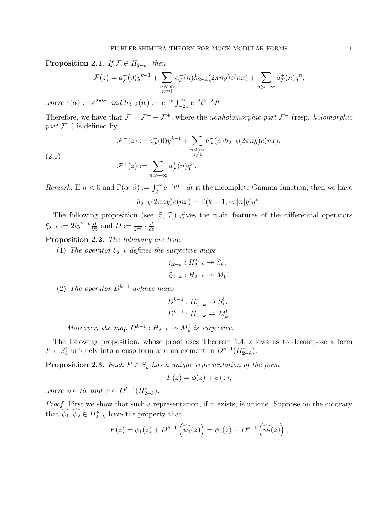**Proposition 2.1.** If  $\mathcal{F} \in H_{2-k}$ , then

$$
\mathcal{F}(z) = a_{\mathcal{F}}(0)y^{k-1} + \sum_{\substack{n \ll \infty \\ n \neq 0}} a_{\mathcal{F}}(n)h_{2-k}(2\pi ny)e(nx) + \sum_{n \gg -\infty} a_{\mathcal{F}}^{+}(n)q^{n},
$$

where  $e(\alpha) := e^{2\pi i \alpha}$  and  $h_{2-k}(w) := e^{-w} \int_{-2w}^{\infty} e^{-t} t^{k-2} dt$ .

Therefore, we have that  $\mathcal{F} = \mathcal{F}^- + \mathcal{F}^+$ , where the nonholomorphic part  $\mathcal{F}^-$  (resp. holomorphic part  $\mathcal{F}^+$ ) is defined by

$$
\mathcal{F}^{-}(z) := a_{\mathcal{F}}^{-}(0)y^{k-1} + \sum_{\substack{n \ll \infty \\ n \neq 0}} a_{\mathcal{F}}^{-}(n)h_{2-k}(2\pi ny)e(nx),
$$
  

$$
\mathcal{F}^{+}(z) := \sum a_{\mathcal{F}}^{+}(n)q^{n}.
$$

(2.1)

$$
F^+(z) := \sum_{n \gg -\infty} a_{\mathcal{F}}^+(n) q^n.
$$

Remark. If  $n < 0$  and  $\Gamma(\alpha, \beta) := \int_{\beta}^{\infty} e^{-t} t^{\alpha-1} dt$  is the incomplete Gamma-function, then we have  $h_{2-k}(2\pi ny)e(nx) = \Gamma(k-1, 4\pi |n|y)q^n.$ 

The following proposition (see [5, 7]) gives the main features of the differential operators  $\xi_{2-k} := 2iy^{2-k}\frac{\partial}{\partial \overline{z}}$  and  $D := \frac{1}{2\pi i} \cdot \frac{d}{dz}$ .

Proposition 2.2. The following are true:

(1) The operator  $\xi_{2-k}$  defines the surjective maps

$$
\xi_{2-k} : H_{2-k}^* \twoheadrightarrow S_k,
$$
  

$$
\xi_{2-k} : H_{2-k} \twoheadrightarrow M_k^!
$$

(2) The operator  $D^{k-1}$  defines maps

$$
D^{k-1}: H^*_{2-k} \to S^!_k,
$$
  

$$
D^{k-1}: H_{2-k} \to M^!_k.
$$

Moreover, the map  $D^{k-1}: H_{2-k} \to M_k^!$  is surjective.

The following proposition, whose proof uses Theorem 1.4, allows us to decompose a form  $F \in S_k^!$  uniquely into a cusp form and an element in  $D^{k-1}(H_{2-k}^*)$ .

**Proposition 2.3.** Each  $F \in S_k^!$  has a unique representation of the form

$$
F(z) = \phi(z) + \psi(z),
$$

where  $\phi \in S_k$  and  $\psi \in D^{k-1}(H_{2-k}^*)$ .

Proof. First we show that such a representation, if it exists, is unique. Suppose on the contrary that  $\widehat{\psi}_1, \widehat{\psi}_2 \in H_{2-k}^*$  have the property that

$$
F(z) = \phi_1(z) + D^{k-1}(\widehat{\psi_1}(z)) = \phi_2(z) + D^{k-1}(\widehat{\psi_2}(z)),
$$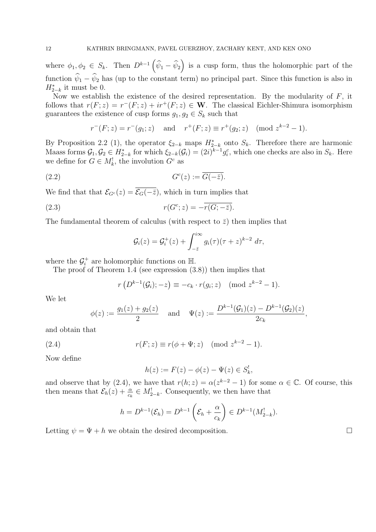where  $\phi_1, \phi_2 \in S_k$ . Then  $D^{k-1}(\widehat{\psi}_1 - \widehat{\psi}_2)$  is a cusp form, thus the holomorphic part of the function  $\hat{\psi}_1 - \hat{\psi}_2$  has (up to the constant term) no principal part. Since this function is also in  $H_{2-k}^*$  it must be 0.

Now we establish the existence of the desired representation. By the modularity of  $F$ , it follows that  $r(F; z) = r^-(F; z) + ir^+(F; z) \in \mathbf{W}$ . The classical Eichler-Shimura isomorphism guarantees the existence of cusp forms  $g_1, g_2 \in S_k$  such that

$$
r^-(F; z) = r^-(g_1; z)
$$
 and  $r^+(F; z) \equiv r^+(g_2; z)$  (mod  $z^{k-2} - 1$ ).

By Proposition 2.2 (1), the operator  $\xi_{2-k}$  maps  $H_{2-k}^*$  onto  $S_k$ . Therefore there are harmonic Maass forms  $\mathcal{G}_1, \mathcal{G}_2 \in H_{2-k}^*$  for which  $\xi_{2-k}(\mathcal{G}_i) = (2i)^{k-1} g_i^c$ , which one checks are also in  $S_k$ . Here we define for  $G \in M_k^!$ , the involution  $G^c$  as

$$
(2.2) \tGc(z) := \overline{G(-\overline{z})}.
$$

We find that that  $\mathcal{E}_{G^c}(z) = \overline{\mathcal{E}_G(-\bar{z})}$ , which in turn implies that

(2.3) 
$$
r(G^c; z) = -\overline{r(G; -\overline{z})}.
$$

The fundamental theorem of calculus (with respect to  $\bar{z}$ ) then implies that

$$
\mathcal{G}_i(z) = \mathcal{G}_i^+(z) + \int_{-\bar{z}}^{i\infty} g_i(\tau)(\tau + z)^{k-2} d\tau,
$$

where the  $\mathcal{G}_i^+$  $i_i^+$  are holomorphic functions on  $\mathbb{H}$ .

The proof of Theorem 1.4 (see expression (3.8)) then implies that

$$
r(D^{k-1}(\mathcal{G}_i); -z) \equiv -c_k \cdot r(g_i; z) \pmod{z^{k-2}-1}.
$$

We let

$$
\phi(z) := \frac{g_1(z) + g_2(z)}{2} \quad \text{and} \quad \Psi(z) := \frac{D^{k-1}(\mathcal{G}_1)(z) - D^{k-1}(\mathcal{G}_2)(z)}{2c_k},
$$

and obtain that

(2.4) 
$$
r(F; z) \equiv r(\phi + \Psi; z) \pmod{z^{k-2} - 1}
$$
.

Now define

$$
h(z) := F(z) - \phi(z) - \Psi(z) \in S_k^!,
$$

and observe that by (2.4), we have that  $r(h; z) = \alpha(z^{k-2} - 1)$  for some  $\alpha \in \mathbb{C}$ . Of course, this then means that  $\mathcal{E}_h(z) + \frac{\alpha}{c_k} \in M_{2-k}^!$ . Consequently, we then have that

$$
h = D^{k-1}(\mathcal{E}_h) = D^{k-1}\left(\mathcal{E}_h + \frac{\alpha}{c_k}\right) \in D^{k-1}(M_{2-k}^!).
$$

Letting  $\psi = \Psi + h$  we obtain the desired decomposition.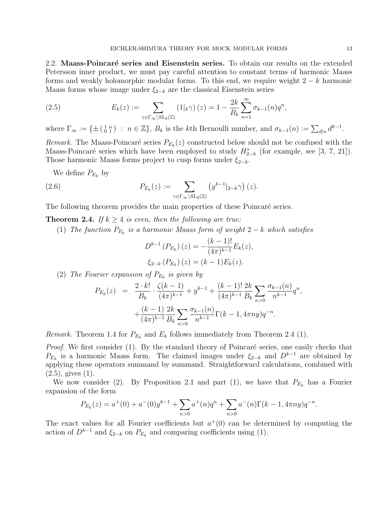2.2. Maass-Poincaré series and Eisenstein series. To obtain our results on the extended Petersson inner product, we must pay careful attention to constant terms of harmonic Maass forms and weakly holomorphic modular forms. To this end, we require weight  $2 - k$  harmonic Maass forms whose image under  $\xi_{2-k}$  are the classical Eisenstein series

(2.5) 
$$
E_k(z) := \sum_{\gamma \in \Gamma_{\infty} \backslash \mathrm{SL}_2(\mathbb{Z})} (1|_k \gamma) (z) = 1 - \frac{2k}{B_k} \sum_{n=1}^{\infty} \sigma_{k-1}(n) q^n,
$$

where  $\Gamma_{\infty} := \{ \pm \left( \begin{smallmatrix} 1 & n \\ 0 & 1 \end{smallmatrix} \right) : n \in \mathbb{Z} \}, B_k$  is the kth Bernoulli number, and  $\sigma_{k-1}(n) := \sum_{d|n} d^{k-1}$ .

Remark. The Maass-Poincaré series  $P_{E_k}(z)$  constructed below should not be confused with the Maass-Poincaré series which have been employed to study  $H_{2-k}^*$  (for example, see [3, 7, 21]). Those harmonic Maass forms project to cusp forms under  $\xi_{2-k}$ .

We define  $P_{E_k}$  by

(2.6) 
$$
P_{E_k}(z) := \sum_{\gamma \in \Gamma_{\infty} \backslash \mathrm{SL}_2(\mathbb{Z})} \left( y^{k-1} \middle|_{2-k} \gamma \right) (z).
$$

The following theorem provides the main properties of these Poincaré series.

**Theorem 2.4.** If  $k > 4$  is even, then the following are true:

(1) The function  $P_{E_k}$  is a harmonic Maass form of weight 2 – k which satisfies

$$
D^{k-1} (P_{E_k}) (z) = -\frac{(k-1)!}{(4\pi)^{k-1}} E_k(z),
$$
  

$$
\xi_{2-k} (P_{E_k}) (z) = (k-1) E_k(z).
$$

(2) The Fourier expansion of  $P_{E_k}$  is given by

$$
P_{E_k}(z) = \frac{2 \cdot k!}{B_k} \cdot \frac{\zeta(k-1)}{(4\pi)^{k-1}} + y^{k-1} + \frac{(k-1)!}{(4\pi)^{k-1}} \frac{2k}{B_k} \sum_{n>0} \frac{\sigma_{k-1}(n)}{n^{k-1}} q^n,
$$
  
+ 
$$
\frac{(k-1)}{(4\pi)^{k-1}} \frac{2k}{B_k} \sum_{n>0} \frac{\sigma_{k-1}(n)}{n^{k-1}} \Gamma(k-1, 4\pi ny) q^{-n}.
$$

*Remark.* Theorem 1.4 for  $P_{E_k}$  and  $E_k$  follows immediately from Theorem 2.4 (1).

*Proof.* We first consider  $(1)$ . By the standard theory of Poincaré series, one easily checks that  $P_{E_k}$  is a harmonic Maass form. The claimed images under  $\xi_{2-k}$  and  $D^{k-1}$  are obtained by applying these operators summand by summand. Straightforward calculations, combined with  $(2.5)$ , gives  $(1)$ .

We now consider (2). By Proposition 2.1 and part (1), we have that  $P_{E_k}$  has a Fourier expansion of the form

$$
P_{E_k}(z) = a^+(0) + a^-(0)y^{k-1} + \sum_{n>0} a^+(n)q^n + \sum_{n>0} a^-(n)\Gamma(k-1, 4\pi ny)q^{-n}.
$$

The exact values for all Fourier coefficients but  $a^+(0)$  can be determined by computing the action of  $D^{k-1}$  and  $\xi_{2-k}$  on  $P_{E_k}$  and comparing coefficients using (1).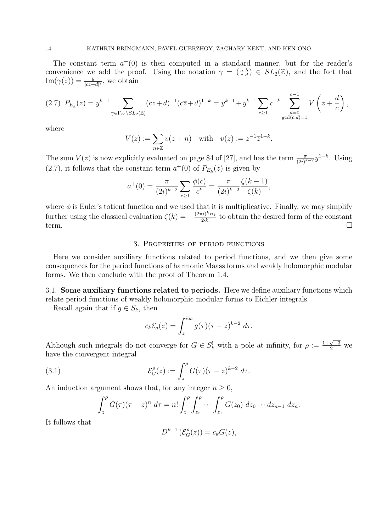The constant term  $a^+(0)$  is then computed in a standard manner, but for the reader's convenience we add the proof. Using the notation  $\gamma = \begin{pmatrix} a & b \\ c & d \end{pmatrix} \in SL_2(\mathbb{Z})$ , and the fact that  $\text{Im}(\gamma(z)) = \frac{y}{|cz+d|^2}$ , we obtain

$$
(2.7) \ \ P_{E_k}(z) = y^{k-1} \sum_{\gamma \in \Gamma_{\infty} \backslash SL_2(\mathbb{Z})} (cz+d)^{-1} (c\overline{z}+d)^{1-k} = y^{k-1} + y^{k-1} \sum_{c \ge 1} c^{-k} \sum_{\substack{d=0 \ \gcd(c,d)=1}}^{c-1} V\left(z + \frac{d}{c}\right),
$$

where

$$
V(z) := \sum_{n \in \mathbb{Z}} v(z+n)
$$
 with  $v(z) := z^{-1} \overline{z}^{1-k}$ .

The sum  $V(z)$  is now explicitly evaluated on page 84 of [27], and has the term  $\frac{\pi}{(2i)^{k-2}} y^{1-k}$ . Using  $(2.7)$ , it follows that the constant term  $a^+(0)$  of  $P_{E_k}(z)$  is given by

$$
a^+(0) = \frac{\pi}{(2i)^{k-2}} \sum_{c \ge 1} \frac{\phi(c)}{c^k} = \frac{\pi}{(2i)^{k-2}} \frac{\zeta(k-1)}{\zeta(k)},
$$

where  $\phi$  is Euler's totient function and we used that it is multiplicative. Finally, we may simplify further using the classical evaluation  $\zeta(k) = -\frac{(2\pi i)^k B_k}{2k}$  $\frac{\tau_i}{2\cdot k!}$  to obtain the desired form of the constant term.

## 3. Properties of period functions

Here we consider auxiliary functions related to period functions, and we then give some consequences for the period functions of harmonic Maass forms and weakly holomorphic modular forms. We then conclude with the proof of Theorem 1.4.

3.1. Some auxiliary functions related to periods. Here we define auxiliary functions which relate period functions of weakly holomorphic modular forms to Eichler integrals.

Recall again that if  $g \in S_k$ , then

$$
c_k \mathcal{E}_g(z) = \int_z^{i\infty} g(\tau) (\tau - z)^{k-2} d\tau.
$$

Although such integrals do not converge for  $G \in S_k^!$  with a pole at infinity, for  $\rho := \frac{1+\sqrt{-3}}{2}$  we have the convergent integral

(3.1) 
$$
\mathcal{E}_G^{\rho}(z) := \int_z^{\rho} G(\tau) (\tau - z)^{k-2} d\tau.
$$

An induction argument shows that, for any integer  $n \geq 0$ ,

$$
\int_z^\rho G(\tau)(\tau-z)^n d\tau = n! \int_z^\rho \int_{z_n}^\rho \cdots \int_{z_1}^\rho G(z_0) dz_0 \cdots dz_{n-1} dz_n.
$$

It follows that

$$
D^{k-1}\left(\mathcal{E}_G^{\rho}(z)\right) = c_k G(z),
$$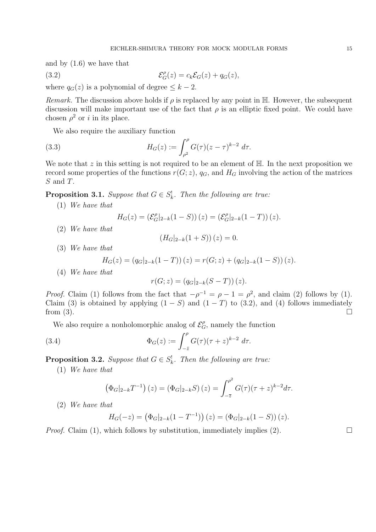and by (1.6) we have that

(3.2) 
$$
\mathcal{E}_G^{\rho}(z) = c_k \mathcal{E}_G(z) + q_G(z),
$$

where  $q_G(z)$  is a polynomial of degree  $\leq k-2$ .

Remark. The discussion above holds if  $\rho$  is replaced by any point in H. However, the subsequent discussion will make important use of the fact that  $\rho$  is an elliptic fixed point. We could have chosen  $\rho^2$  or i in its place.

We also require the auxiliary function

(3.3) 
$$
H_G(z) := \int_{\rho^2}^{\rho} G(\tau) (z - \tau)^{k-2} d\tau.
$$

We note that  $z$  in this setting is not required to be an element of  $\mathbb{H}$ . In the next proposition we record some properties of the functions  $r(G; z)$ ,  $q_G$ , and  $H_G$  involving the action of the matrices S and T.

**Proposition 3.1.** Suppose that  $G \in S_k^!$ . Then the following are true:

(1) We have that

$$
H_G(z) = \left(\mathcal{E}_G^{\rho}|_{2-k}(1-S)\right)(z) = \left(\mathcal{E}_G^{\rho}|_{2-k}(1-T)\right)(z).
$$

(2) We have that

$$
(H_G|_{2-k}(1+S))(z) = 0.
$$

(3) We have that

$$
H_G(z) = (q_G|_{2-k}(1-T))(z) = r(G; z) + (q_G|_{2-k}(1-S))(z).
$$

(4) We have that

$$
r(G; z) = (q_G|_{2-k}(S-T))(z).
$$

*Proof.* Claim (1) follows from the fact that  $-\rho^{-1} = \rho - 1 = \rho^2$ , and claim (2) follows by (1). Claim (3) is obtained by applying  $(1 - S)$  and  $(1 - T)$  to (3.2), and (4) follows immediately from  $(3)$ .

We also require a nonholomorphic analog of  $\mathcal{E}_G^{\rho}$ , namely the function

(3.4) 
$$
\Phi_G(z) := \int_{-\bar{z}}^{\rho} G(\tau) (\tau + z)^{k-2} d\tau.
$$

**Proposition 3.2.** Suppose that  $G \in S_k^!$ . Then the following are true:

(1) We have that

$$
\left(\Phi_G|_{2-k}T^{-1}\right)(z) = \left(\Phi_G|_{2-k}S\right)(z) = \int_{-\overline{z}}^{\rho^2} G(\tau)(\tau+z)^{k-2}d\tau.
$$

(2) We have that

$$
H_G(-z) = (\Phi_G|_{2-k}(1-T^{-1}))(z) = (\Phi_G|_{2-k}(1-S))(z).
$$

*Proof.* Claim (1), which follows by substitution, immediately implies (2).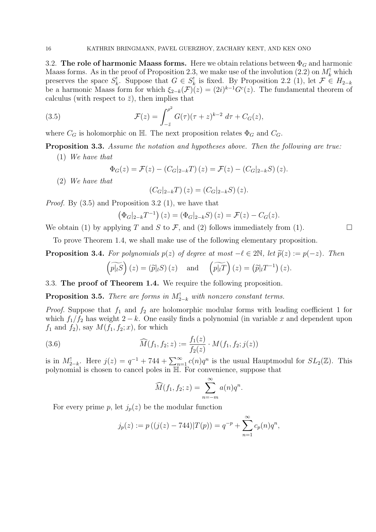3.2. The role of harmonic Maass forms. Here we obtain relations between  $\Phi_G$  and harmonic Maass forms. As in the proof of Proposition 2.3, we make use of the involution  $(2.2)$  on  $M_k^!$  which preserves the space  $S_k^!$ . Suppose that  $G \in S_k^!$  is fixed. By Proposition 2.2 (1), let  $\mathcal{F} \in H_{2-k}$ be a harmonic Maass form for which  $\xi_{2-k}(\mathcal{F})(z) = (2i)^{k-1}G^{c}(z)$ . The fundamental theorem of calculus (with respect to  $\bar{z}$ ), then implies that

(3.5) 
$$
\mathcal{F}(z) = \int_{-\bar{z}}^{\rho^2} G(\tau)(\tau + z)^{k-2} d\tau + C_G(z),
$$

where  $C_G$  is holomorphic on H. The next proposition relates  $\Phi_G$  and  $C_G$ .

Proposition 3.3. Assume the notation and hypotheses above. Then the following are true:

(1) We have that

$$
\Phi_G(z) = \mathcal{F}(z) - (C_G|_{2-k}T)(z) = \mathcal{F}(z) - (C_G|_{2-k}S)(z).
$$

(2) We have that

$$
(C_G|_{2-k}T)(z) = (C_G|_{2-k}S)(z).
$$

*Proof.* By  $(3.5)$  and Proposition 3.2  $(1)$ , we have that

$$
(\Phi_G|_{2-k}T^{-1})(z) = (\Phi_G|_{2-k}S)(z) = \mathcal{F}(z) - C_G(z).
$$

We obtain (1) by applying T and S to F, and (2) follows immediately from (1).

To prove Theorem 1.4, we shall make use of the following elementary proposition.

**Proposition 3.4.** For polynomials  $p(z)$  of degree at most  $-\ell \in 2\mathbb{N}$ , let  $\tilde{p}(z) := p(-z)$ . Then

$$
\left(\widetilde{p|_{l}S}\right)(z) = \left(\widetilde{p}|_{l}S\right)(z) \quad \text{and} \quad \left(\widetilde{p|_{l}T}\right)(z) = \left(\widetilde{p}|_{l}T^{-1}\right)(z).
$$

3.3. The proof of Theorem 1.4. We require the following proposition.

**Proposition 3.5.** There are forms in  $M_{2-k}^!$  with nonzero constant terms.

*Proof.* Suppose that  $f_1$  and  $f_2$  are holomorphic modular forms with leading coefficient 1 for which  $f_1/f_2$  has weight 2 − k. One easily finds a polynomial (in variable x and dependent upon  $f_1$  and  $f_2$ ), say  $M(f_1, f_2; x)$ , for which

(3.6) 
$$
\widehat{M}(f_1, f_2; z) := \frac{f_1(z)}{f_2(z)} \cdot M(f_1, f_2; j(z))
$$

is in  $M_{2-k}^!$ . Here  $j(z) = q^{-1} + 744 + \sum_{n=1}^{\infty} c(n)q^n$  is the usual Hauptmodul for  $SL_2(\mathbb{Z})$ . This polynomial is chosen to cancel poles in H. For convenience, suppose that

$$
\widehat{M}(f_1, f_2; z) = \sum_{n=-m}^{\infty} a(n)q^n.
$$

For every prime p, let  $j_p(z)$  be the modular function

$$
j_p(z) := p((j(z) - 744)|T(p)) = q^{-p} + \sum_{n=1}^{\infty} c_p(n)q^n,
$$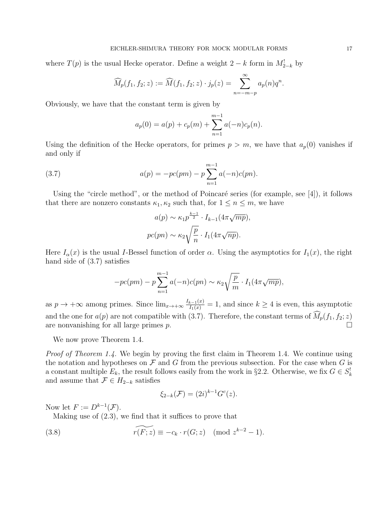where  $T(p)$  is the usual Hecke operator. Define a weight  $2 - k$  form in  $M_{2-k}^{\dagger}$  by

$$
\widehat{M}_p(f_1, f_2; z) := \widehat{M}(f_1, f_2; z) \cdot j_p(z) = \sum_{n=-m-p}^{\infty} a_p(n) q^n.
$$

Obviously, we have that the constant term is given by

$$
a_p(0) = a(p) + c_p(m) + \sum_{n=1}^{m-1} a(-n)c_p(n).
$$

Using the definition of the Hecke operators, for primes  $p > m$ , we have that  $a_p(0)$  vanishes if and only if

(3.7) 
$$
a(p) = -pc(pm) - p \sum_{n=1}^{m-1} a(-n)c(pn).
$$

Using the "circle method", or the method of Poincaré series (for example, see  $[4]$ ), it follows that there are nonzero constants  $\kappa_1, \kappa_2$  such that, for  $1 \leq n \leq m$ , we have

$$
a(p) \sim \kappa_1 p^{\frac{k-1}{2}} \cdot I_{k-1}(4\pi \sqrt{mp}),
$$

$$
pc(pn) \sim \kappa_2 \sqrt{\frac{p}{n}} \cdot I_1(4\pi \sqrt{np}).
$$

Here  $I_{\alpha}(x)$  is the usual I-Bessel function of order  $\alpha$ . Using the asymptotics for  $I_1(x)$ , the right hand side of (3.7) satisfies

$$
-pc(pm) - p\sum_{n=1}^{m-1}a(-n)c(pn) \sim \kappa_2\sqrt{\frac{p}{m}} \cdot I_1(4\pi\sqrt{mp}),
$$

as  $p \to +\infty$  among primes. Since  $\lim_{x\to+\infty} \frac{I_{k-1}(x)}{I_1(x)} = 1$ , and since  $k \ge 4$  is even, this asymptotic and the one for  $a(p)$  are not compatible with (3.7). Therefore, the constant terms of  $\widehat{M}_p(f_1, f_2; z)$ <br>are nonvanishing for all large primes n are nonvanishing for all large primes p.

We now prove Theorem 1.4.

Proof of Theorem 1.4. We begin by proving the first claim in Theorem 1.4. We continue using the notation and hypotheses on  $\mathcal F$  and  $G$  from the previous subsection. For the case when  $G$  is a constant multiple  $E_k$ , the result follows easily from the work in §2.2. Otherwise, we fix  $G \in S_k^!$ and assume that  $\mathcal{F} \in H_{2-k}$  satisfies

$$
\xi_{2-k}(\mathcal{F}) = (2i)^{k-1} G^c(z).
$$

Now let  $F := D^{k-1}(\mathcal{F})$ .

Making use of (2.3), we find that it suffices to prove that

(3.8) 
$$
\widetilde{r(F;z)} \equiv -c_k \cdot r(G;z) \pmod{z^{k-2}-1}.
$$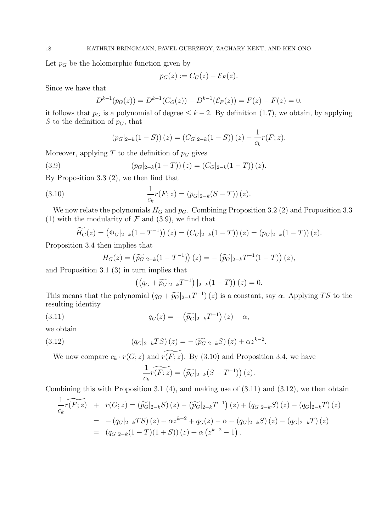Let  $p_G$  be the holomorphic function given by

$$
p_G(z) := C_G(z) - \mathcal{E}_F(z).
$$

Since we have that

$$
D^{k-1}(p_G(z)) = D^{k-1}(C_G(z)) - D^{k-1}(\mathcal{E}_F(z)) = F(z) - F(z) = 0,
$$

it follows that  $p_G$  is a polynomial of degree  $\leq k-2$ . By definition (1.7), we obtain, by applying S to the definition of  $p<sub>G</sub>$ , that

1

$$
(p_G|_{2-k}(1-S))(z) = (C_G|_{2-k}(1-S))(z) - \frac{1}{c_k}r(F;z).
$$

Moreover, applying  $T$  to the definition of  $p<sub>G</sub>$  gives

(3.9) 
$$
(p_G|_{2-k}(1-T))(z) = (C_G|_{2-k}(1-T))(z).
$$

By Proposition 3.3 (2), we then find that

(3.10) 
$$
\frac{1}{c_k}r(F;z) = (p_G|_{2-k}(S-T))(z).
$$

We now relate the polynomials  $H_G$  and  $p_G$ . Combining Proposition 3.2 (2) and Proposition 3.3 (1) with the modularity of  $\mathcal F$  and (3.9), we find that

$$
\widetilde{H_G}(z) = (\Phi_G|_{2-k}(1-T^{-1}))(z) = (C_G|_{2-k}(1-T))(z) = (p_G|_{2-k}(1-T))(z).
$$

Proposition 3.4 then implies that

$$
H_G(z) = \left(\widetilde{p_G}|_{2-k}(1-T^{-1})\right)(z) = -\left(\widetilde{p_G}|_{2-k}T^{-1}(1-T)\right)(z),
$$

and Proposition 3.1 (3) in turn implies that

$$
((q_G + \widetilde{p_G}|_{2-k}T^{-1})|_{2-k}(1-T))(z) = 0.
$$

This means that the polynomial  $(q_G + \widetilde{p_G}|_{2-k}T^{-1})(z)$  is a constant, say  $\alpha$ . Applying TS to the resulting identity resulting identity

(3.11) 
$$
q_G(z) = -\left(\widetilde{p_G}|_{2-k}T^{-1}\right)(z) + \alpha,
$$

we obtain

(3.12) 
$$
(q_G|_{2-k}TS)(z) = -(\widetilde{p_G}|_{2-k}S)(z) + \alpha z^{k-2}.
$$

We now compare  $c_k \cdot r(G; z)$  and  $\widetilde{r(F; z)}$ . By (3.10) and Proposition 3.4, we have

$$
\frac{1}{c_k} \widetilde{r(F;z)} = \left(\widetilde{p_G}|_{2-k}(S-T^{-1})\right)(z).
$$

Combining this with Proposition 3.1 (4), and making use of (3.11) and (3.12), we then obtain

$$
\frac{1}{c_k} \widetilde{r(F;z)} + r(G;z) = (\widetilde{p_G}|_{2-k}S)(z) - (\widetilde{p_G}|_{2-k}T^{-1})(z) + (q_G|_{2-k}S)(z) - (q_G|_{2-k}T)(z)
$$
  
\n
$$
= -(q_G|_{2-k}TS)(z) + \alpha z^{k-2} + q_G(z) - \alpha + (q_G|_{2-k}S)(z) - (q_G|_{2-k}T)(z)
$$
  
\n
$$
= (q_G|_{2-k}(1-T)(1+S))(z) + \alpha (z^{k-2} - 1).
$$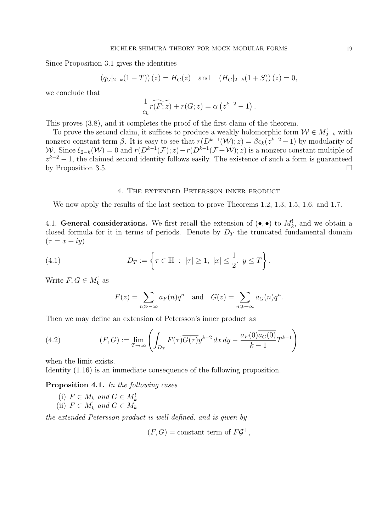Since Proposition 3.1 gives the identities

$$
(q_G|_{2-k}(1-T))(z) = H_G(z)
$$
 and  $(H_G|_{2-k}(1+S))(z) = 0$ ,

we conclude that

$$
\frac{1}{c_k} \widetilde{r(F;z)} + r(G;z) = \alpha \left( z^{k-2} - 1 \right).
$$

This proves (3.8), and it completes the proof of the first claim of the theorem.

To prove the second claim, it suffices to produce a weakly holomorphic form  $\mathcal{W} \in M^!_{2-k}$  with nonzero constant term  $\beta$ . It is easy to see that  $r(D^{k-1}(\mathcal{W}); z) = \beta c_k(z^{k-2} - 1)$  by modularity of W. Since  $\xi_{2-k}(\mathcal{W})=0$  and  $r(D^{k-1}(\mathcal{F}); z)-r(D^{k-1}(\mathcal{F}+\mathcal{W}); z)$  is a nonzero constant multiple of  $z^{k-2} - 1$ , the claimed second identity follows easily. The existence of such a form is guaranteed by Proposition 3.5.

## 4. The extended Petersson inner product

We now apply the results of the last section to prove Theorems 1.2, 1.3, 1.5, 1.6, and 1.7.

4.1. General considerations. We first recall the extension of  $(\bullet, \bullet)$  to  $M_k^!$ , and we obtain a closed formula for it in terms of periods. Denote by  $D<sub>T</sub>$  the truncated fundamental domain  $(\tau = x + iy)$ 

(4.1) 
$$
D_T := \left\{ \tau \in \mathbb{H} : |\tau| \ge 1, |x| \le \frac{1}{2}, y \le T \right\}.
$$

Write  $F, G \in M_k^!$  as

$$
F(z) = \sum_{n \gg -\infty} a_F(n)q^n \text{ and } G(z) = \sum_{n \gg -\infty} a_G(n)q^n.
$$

Then we may define an extension of Petersson's inner product as

(4.2) 
$$
(F, G) := \lim_{T \to \infty} \left( \int_{D_T} F(\tau) \overline{G(\tau)} y^{k-2} dx dy - \frac{a_F(0) \overline{a_G(0)}}{k-1} T^{k-1} \right)
$$

when the limit exists.

Identity (1.16) is an immediate consequence of the following proposition.

Proposition 4.1. In the following cases

(i)  $F \in M_k$  and  $G \in M_k^!$ (ii)  $F \in M_k^!$  and  $G \in M_k$ 

the extended Petersson product is well defined, and is given by

 $(F, G) = \text{constant term of } F \mathcal{G}^+,$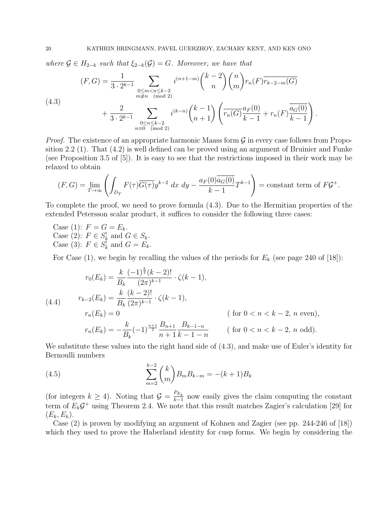where  $\mathcal{G} \in H_{2-k}$  such that  $\xi_{2-k}(\mathcal{G}) = G$ . Moreover, we have that

(4.3)  

$$
(F, G) = \frac{1}{3 \cdot 2^{k-1}} \sum_{\substack{0 \le m < n \le k-2 \\ m \ne n \pmod{2}}} i^{(n+1-m)} {k-2 \choose n} {n \choose m} r_n(F) \overline{r_{k-2-m}(G)}
$$

$$
+ \frac{2}{3 \cdot 2^{k-1}} \sum_{\substack{0 \le n \le k-2 \\ n \equiv 0 \pmod{2}}} i^{(k-n)} {k-1 \choose n+1} \left( \overline{r_n(G)} \frac{a_F(0)}{k-1} + r_n(F) \frac{\overline{a_G(0)}}{k-1} \right).
$$

*Proof.* The existence of an appropriate harmonic Maass form  $\mathcal G$  in every case follows from Proposition 2.2 (1). That (4.2) is well defined can be proved using an argument of Bruinier and Funke (see Proposition 3.5 of [5]). It is easy to see that the restrictions imposed in their work may be relaxed to obtain

$$
(F, G) = \lim_{T \to \infty} \left( \int_{D_T} F(\tau) \overline{G(\tau)} y^{k-2} dx dy - \frac{a_F(0) \overline{a_G(0)}}{k-1} T^{k-1} \right) = \text{constant term of } F \mathcal{G}^+.
$$

To complete the proof, we need to prove formula (4.3). Due to the Hermitian properties of the extended Petersson scalar product, it suffices to consider the following three cases:

Case (1):  $F = G = E_k$ . Case (2):  $F \in S_k^!$  and  $G \in S_k$ . Case (3):  $F \in S_k^!$  and  $G = E_k$ .

For Case (1), we begin by recalling the values of the periods for  $E_k$  (see page 240 of [18]):

$$
r_0(E_k) = \frac{k}{B_k} \frac{(-1)^{\frac{k}{2}} (k-2)!}{(2\pi)^{k-1}} \cdot \zeta(k-1),
$$
  
\n(4.4) 
$$
r_{k-2}(E_k) = \frac{k}{B_k} \frac{(k-2)!}{(2\pi)^{k-1}} \cdot \zeta(k-1),
$$
  
\n
$$
r_n(E_k) = 0 \qquad (\text{for } 0 < n < k-2, n \text{ even}),
$$
  
\n
$$
r_n(E_k) = -\frac{k}{B_k} (-1)^{\frac{n+1}{2}} \frac{B_{n+1}}{n+1} \frac{B_{k-1-n}}{k-1-n} \qquad (\text{for } 0 < n < k-2, n \text{ odd}).
$$

We substitute these values into the right hand side of  $(4.3)$ , and make use of Euler's identity for Bernoulli numbers

(4.5) 
$$
\sum_{m=2}^{k-2} {k \choose m} B_m B_{k-m} = -(k+1)B_k
$$

(for integers  $k \geq 4$ ). Noting that  $\mathcal{G} = \frac{P_{E_k}}{k-1}$  $\frac{F_{E_k}}{k-1}$  now easily gives the claim computing the constant term of  $E_k \mathcal{G}^+$  using Theorem 2.4. We note that this result matches Zagier's calculation [29] for  $(E_k, E_k)$ .

Case (2) is proven by modifying an argument of Kohnen and Zagier (see pp. 244-246 of [18]) which they used to prove the Haberland identity for cusp forms. We begin by considering the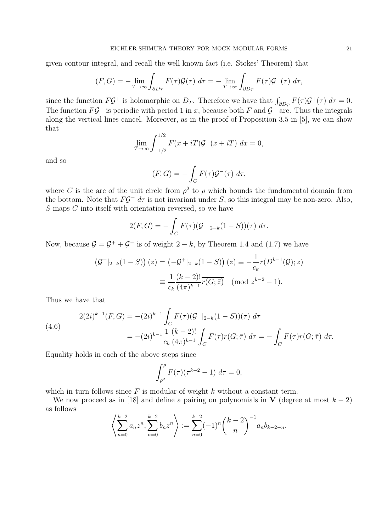given contour integral, and recall the well known fact (i.e. Stokes' Theorem) that

$$
(F, G) = -\lim_{T \to \infty} \int_{\partial D_T} F(\tau) \mathcal{G}(\tau) d\tau = -\lim_{T \to \infty} \int_{\partial D_T} F(\tau) \mathcal{G}^-(\tau) d\tau,
$$

since the function  $F\mathcal{G}^+$  is holomorphic on  $D_T$ . Therefore we have that  $\int_{\partial D_T} F(\tau) \mathcal{G}^+(\tau) d\tau = 0$ . The function  $FG^-$  is periodic with period 1 in x, because both F and  $G^-$  are. Thus the integrals along the vertical lines cancel. Moreover, as in the proof of Proposition 3.5 in [5], we can show that

$$
\lim_{T \to \infty} \int_{-1/2}^{1/2} F(x + iT) \mathcal{G}^{-}(x + iT) dx = 0,
$$

and so

$$
(F, G) = -\int_C F(\tau) \mathcal{G}^-(\tau) d\tau,
$$

where C is the arc of the unit circle from  $\rho^2$  to  $\rho$  which bounds the fundamental domain from the bottom. Note that  $FG^- d\tau$  is not invariant under S, so this integral may be non-zero. Also, S maps C into itself with orientation reversed, so we have

$$
2(F, G) = -\int_C F(\tau) (G^-|_{2-k}(1-S))(\tau) d\tau.
$$

Now, because  $\mathcal{G} = \mathcal{G}^+ + \mathcal{G}^-$  is of weight  $2 - k$ , by Theorem 1.4 and (1.7) we have

$$
\begin{aligned} \left(\mathcal{G}^-|_{2-k}(1-S)\right)(z) &= \left(-\mathcal{G}^+|_{2-k}(1-S)\right)(z) \equiv -\frac{1}{c_k}r(D^{k-1}(\mathcal{G});z) \\ &\equiv \frac{1}{c_k}\frac{(k-2)!}{(4\pi)^{k-1}}\overline{r(G;\bar{z})} \pmod{z^{k-2}-1}. \end{aligned}
$$

Thus we have that

(4.6)  
\n
$$
2(2i)^{k-1}(F,G) = -(2i)^{k-1} \int_C F(\tau) (\mathcal{G}^-|_{2-k}(1-S))(\tau) d\tau
$$
\n
$$
= -(2i)^{k-1} \frac{1}{c_k} \frac{(k-2)!}{(4\pi)^{k-1}} \int_C F(\tau) \overline{r(G;\bar{\tau})} d\tau = -\int_C F(\tau) \overline{r(G;\bar{\tau})} d\tau.
$$

Equality holds in each of the above steps since

$$
\int_{\rho^2}^{\rho} F(\tau) (\tau^{k-2} - 1) \, d\tau = 0,
$$

which in turn follows since  $F$  is modular of weight k without a constant term.

We now proceed as in [18] and define a pairing on polynomials in V (degree at most  $k - 2$ ) as follows

$$
\left\langle \sum_{n=0}^{k-2} a_n z^n, \sum_{n=0}^{k-2} b_n z^n \right\rangle := \sum_{n=0}^{k-2} (-1)^n {k-2 \choose n}^{-1} a_n b_{k-2-n}.
$$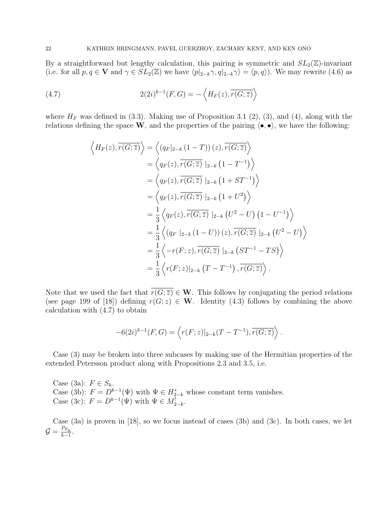By a straightforward but lengthy calculation, this pairing is symmetric and  $SL_2(\mathbb{Z})$ -invariant (i.e. for all  $p, q \in \mathbf{V}$  and  $\gamma \in SL_2(\mathbb{Z})$  we have  $\langle p|_{2-k}\gamma, q|_{2-k}\gamma \rangle = \langle p, q \rangle$ ). We may rewrite (4.6) as

(4.7) 
$$
2(2i)^{k-1}(F,G) = -\left\langle H_F(z), \overline{r(G;\overline{z})}\right\rangle
$$

where  $H_F$  was defined in (3.3). Making use of Proposition 3.1 (2), (3), and (4), along with the relations defining the space W, and the properties of the pairing  $\langle \bullet, \bullet \rangle$ , we have the following:

$$
\langle H_F(z), \overline{r(G; \overline{z})} \rangle = \langle (q_F|_{2-k} (1-T))(z), \overline{r(G; \overline{z})} \rangle
$$
  
\n
$$
= \langle q_F(z), \overline{r(G; \overline{z})} |_{2-k} (1-T^{-1}) \rangle
$$
  
\n
$$
= \langle q_F(z), \overline{r(G; \overline{z})} |_{2-k} (1+ST^{-1}) \rangle
$$
  
\n
$$
= \langle q_F(z), \overline{r(G; \overline{z})} |_{2-k} (1+U^2) \rangle
$$
  
\n
$$
= \frac{1}{3} \langle q_F(z), \overline{r(G; \overline{z})} |_{2-k} (U^2-U) (1-U^{-1}) \rangle
$$
  
\n
$$
= \frac{1}{3} \langle (q_F|_{2-k} (1-U))(z), \overline{r(G; \overline{z})} |_{2-k} (U^2-U) \rangle
$$
  
\n
$$
= \frac{1}{3} \langle -r(F; z), \overline{r(G; \overline{z})} |_{2-k} (ST^{-1} - TS) \rangle
$$
  
\n
$$
= \frac{1}{3} \langle r(F; z) |_{2-k} (T - T^{-1}), \overline{r(G; \overline{z})} \rangle.
$$

Note that we used the fact that  $\overline{r(G; \overline{z})} \in \mathbf{W}$ . This follows by conjugating the period relations (see page 199 of [18]) defining  $r(G; z) \in W$ . Identity (4.3) follows by combining the above calculation with (4.7) to obtain

$$
-6(2i)^{k-1}(F,G) = \left\langle r(F;z)|_{2-k}(T-T^{-1}), \overline{r(G;\overline{z})}\right\rangle.
$$

Case (3) may be broken into three subcases by making use of the Hermitian properties of the extended Petersson product along with Propositions 2.3 and 3.5, i.e.

Case (3a):  $F \in S_k$ . Case (3b):  $F = D^{k-1}(\Psi)$  with  $\Psi \in H_{2-k}^*$  whose constant term vanishes. Case (3c):  $F = D^{k-1}(\Psi)$  with  $\Psi \in M^!_{2-k}$ .

Case (3a) is proven in [18], so we focus instead of cases (3b) and (3c). In both cases, we let  $\mathcal{G} = \frac{P_{E_k}}{k-1}$  $\frac{F E_k}{k-1}$ .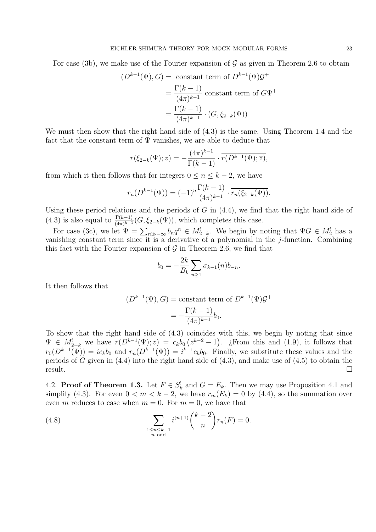For case (3b), we make use of the Fourier expansion of  $\mathcal G$  as given in Theorem 2.6 to obtain

$$
(D^{k-1}(\Psi), G) = \text{ constant term of } D^{k-1}(\Psi)G^+
$$

$$
= \frac{\Gamma(k-1)}{(4\pi)^{k-1}} \text{ constant term of } G\Psi^+
$$

$$
= \frac{\Gamma(k-1)}{(4\pi)^{k-1}} \cdot (G, \xi_{2-k}(\Psi))
$$

We must then show that the right hand side of (4.3) is the same. Using Theorem 1.4 and the fact that the constant term of  $\Psi$  vanishes, we are able to deduce that

$$
r(\xi_{2-k}(\Psi); z) = -\frac{(4\pi)^{k-1}}{\Gamma(k-1)} \cdot \overline{r(D^{k-1}(\Psi); \overline{z})},
$$

from which it then follows that for integers  $0 \le n \le k-2$ , we have

$$
r_n(D^{k-1}(\Psi)) = (-1)^n \frac{\Gamma(k-1)}{(4\pi)^{k-1}} \cdot \overline{r_n(\xi_{2-k}(\Psi))}.
$$

Using these period relations and the periods of  $G$  in  $(4.4)$ , we find that the right hand side of (4.3) is also equal to  $\frac{\Gamma(k-1)}{(4\pi)^{k-1}}(G,\xi_{2-k}(\Psi))$ , which completes this case.

For case (3c), we let  $\Psi = \sum_{n \gg -\infty} b_n q^n \in M_{2-k}^!$ . We begin by noting that  $\Psi G \in M_2^!$  has a vanishing constant term since it is a derivative of a polynomial in the  $j$ -function. Combining this fact with the Fourier expansion of  $\mathcal G$  in Theorem 2.6, we find that

$$
b_0 = -\frac{2k}{B_k} \sum_{n \ge 1} \sigma_{k-1}(n) b_{-n}.
$$

It then follows that

$$
(D^{k-1}(\Psi), G) = \text{constant term of } D^{k-1}(\Psi) \mathcal{G}^+
$$

$$
= -\frac{\Gamma(k-1)}{(4\pi)^{k-1}} b_0.
$$

To show that the right hand side of (4.3) coincides with this, we begin by noting that since  $\Psi \in M_{2-k}^!$  we have  $r(D^{k-1}(\Psi); z) = c_k b_0 (z^{k-2} - 1)$ . ¿From this and (1.9), it follows that  $r_0(D^{k-1}(\Psi)) = ic_k b_0$  and  $r_n(D^{k-1}(\Psi)) = i^{k-1}c_k b_0$ . Finally, we substitute these values and the periods of  $G$  given in  $(4.4)$  into the right hand side of  $(4.3)$ , and make use of  $(4.5)$  to obtain the **Figure 1.** The contract of the contract of the contract of the contract of the contract of the contract of the contract of the contract of the contract of the contract of the contract of the contract of the contract of t

4.2. **Proof of Theorem 1.3.** Let  $F \in S_k^!$  and  $G = E_k$ . Then we may use Proposition 4.1 and simplify (4.3). For even  $0 < m < k - 2$ , we have  $r_m(E_k) = 0$  by (4.4), so the summation over even m reduces to case when  $m = 0$ . For  $m = 0$ , we have that

(4.8) 
$$
\sum_{\substack{1 \le n \le k-1 \\ n \text{ odd}}} i^{(n+1)} {k-2 \choose n} r_n(F) = 0.
$$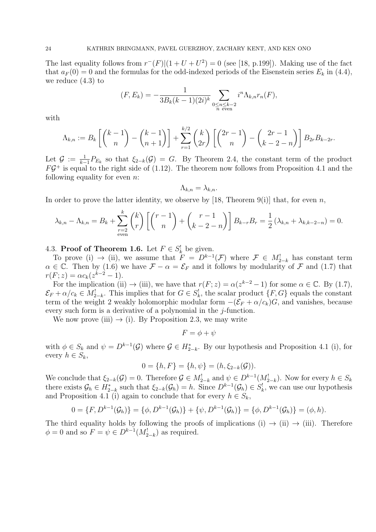The last equality follows from  $r^-(F)(1+U+U^2) = 0$  (see [18, p.199]). Making use of the fact that  $a_F(0) = 0$  and the formulas for the odd-indexed periods of the Eisenstein series  $E_k$  in (4.4), we reduce (4.3) to

$$
(F, E_k) = -\frac{1}{3B_k(k-1)(2i)^k} \sum_{\substack{0 \le n \le k-2 \\ n \text{ even}}} i^n \Lambda_{k,n} r_n(F),
$$

with

$$
\Lambda_{k,n} := B_k \left[ \binom{k-1}{n} - \binom{k-1}{n+1} \right] + \sum_{r=1}^{k/2} \binom{k}{2r} \left[ \binom{2r-1}{n} - \binom{2r-1}{k-2-r} \right] B_{2r} B_{k-2r}.
$$

Let  $\mathcal{G} := \frac{1}{k-1} P_{E_k}$  so that  $\xi_{2-k}(\mathcal{G}) = G$ . By Theorem 2.4, the constant term of the product  $FG^+$  is equal to the right side of (1.12). The theorem now follows from Proposition 4.1 and the following equality for even  $n$ .

$$
\Lambda_{k,n} = \lambda_{k,n}.
$$

In order to prove the latter identity, we observe by [18, Theorem 9(i)] that, for even n,

$$
\lambda_{k,n} - \Lambda_{k,n} = B_k + \sum_{\substack{r=2 \ \text{even}}}^k {k \choose r} \left[ {r-1 \choose n} + {r-1 \choose k-2-n} \right] B_{k-r} B_r = \frac{1}{2} (\lambda_{k,n} + \lambda_{k,k-2-n}) = 0.
$$

# 4.3. Proof of Theorem 1.6. Let  $F \in S_k^!$  be given.

To prove (i)  $\rightarrow$  (ii), we assume that  $F = D^{k-1}(\mathcal{F})$  where  $\mathcal{F} \in M^!_{2-k}$  has constant term  $\alpha \in \mathbb{C}$ . Then by (1.6) we have  $\mathcal{F} - \alpha = \mathcal{E}_F$  and it follows by modularity of  $\mathcal F$  and (1.7) that  $r(F; z) = \alpha c_k (z^{k-2} - 1).$ 

For the implication (ii)  $\rightarrow$  (iii), we have that  $r(F; z) = \alpha(z^{k-2} - 1)$  for some  $\alpha \in \mathbb{C}$ . By (1.7),  $\mathcal{E}_F + \alpha/c_k \in M_{2-k}^!$ . This implies that for  $G \in S_k^!$ , the scalar product  $\{F, G\}$  equals the constant term of the weight 2 weakly holomorphic modular form  $-(\mathcal{E}_F + \alpha/c_k)G$ , and vanishes, because every such form is a derivative of a polynomial in the  $i$ -function.

We now prove (iii)  $\rightarrow$  (i). By Proposition 2.3, we may write

$$
F = \phi + \psi
$$

with  $\phi \in S_k$  and  $\psi = D^{k-1}(\mathcal{G})$  where  $\mathcal{G} \in H_{2-k}^*$ . By our hypothesis and Proposition 4.1 (i), for every  $h \in S_k$ ,

$$
0 = \{h, F\} = \{h, \psi\} = (h, \xi_{2-k}(\mathcal{G})).
$$

We conclude that  $\xi_{2-k}(\mathcal{G})=0$ . Therefore  $\mathcal{G} \in M_{2-k}^!$  and  $\psi \in D^{k-1}(M_{2-k}^!)$ . Now for every  $h \in S_k$ there exists  $\mathcal{G}_h \in H_{2-k}^*$  such that  $\xi_{2-k}(\mathcal{G}_h) = h$ . Since  $D^{k-1}(\mathcal{G}_h) \in S_k^!$ , we can use our hypothesis and Proposition 4.1 (i) again to conclude that for every  $h \in S_k$ ,

$$
0 = \{F, D^{k-1}(\mathcal{G}_h)\} = \{\phi, D^{k-1}(\mathcal{G}_h)\} + \{\psi, D^{k-1}(\mathcal{G}_h)\} = \{\phi, D^{k-1}(\mathcal{G}_h)\} = (\phi, h).
$$

The third equality holds by following the proofs of implications (i)  $\rightarrow$  (ii)  $\rightarrow$  (iii). Therefore  $\phi = 0$  and so  $F = \psi \in D^{k-1}(M_{2-k}^!)$  as required.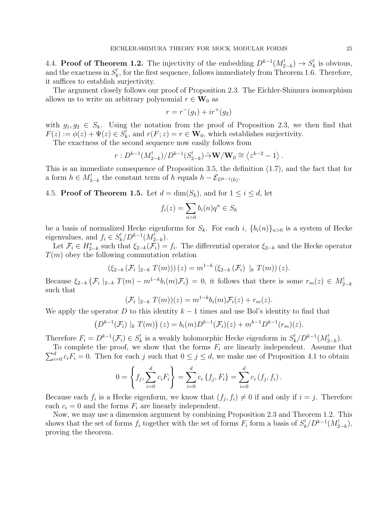4.4. **Proof of Theorem 1.2.** The injectivity of the embedding  $D^{k-1}(M_{2-k}^!) \to S_k^!$  is obvious, and the exactness in  $S_k^!$ , for the first sequence, follows immediately from Theorem 1.6. Therefore, it suffices to establish surjectivity.

The argument closely follows our proof of Proposition 2.3. The Eichler-Shimura isomorphism allows us to write an arbitrary polynomial  $r \in W_0$  as

$$
r = r^{-}(g_1) + ir^{+}(g_2)
$$

with  $g_1, g_2 \in S_k$ . Using the notation from the proof of Proposition 2.3, we then find that  $F(z) := \phi(z) + \Psi(z) \in S_k^!,$  and  $r(F; z) = r \in \mathbf{W}_0$ , which establishes surjectivity.

The exactness of the second sequence now easily follows from

$$
r: D^{k-1}(M_{2-k}^!) / D^{k-1}(S_{2-k}^!) \tilde{\to} \mathbf{W}/\mathbf{W}_0 \cong \langle z^{k-2} - 1 \rangle.
$$

This is an immediate consequence of Proposition 3.5, the definition (1.7), and the fact that for a form  $h \in M_{2-k}^!$  the constant term of h equals  $h - \mathcal{E}_{D^{k-1}(h)}$ .

4.5. **Proof of Theorem 1.5.** Let  $d = \dim(S_k)$ , and for  $1 \leq i \leq d$ , let

$$
f_i(z) = \sum_{n>0} b_i(n)q^n \in S_k
$$

be a basis of normalized Hecke eigenforms for  $S_k$ . For each i,  ${b_i(n)}_{n>0}$  is a system of Hecke eigenvalues, and  $f_i \in S_k^! / D^{k-1}(M_{2-k}^!)$ .

Let  $\mathcal{F}_i \in H_{2-k}^*$  such that  $\xi_{2-k}(\mathcal{F}_i) = f_i$ . The differential operator  $\xi_{2-k}$  and the Hecke operator  $T(m)$  obey the following commutation relation

$$
(\xi_{2-k}(\mathcal{F}_i |_{2-k} T(m)))(z) = m^{1-k} (\xi_{2-k}(\mathcal{F}_i) |_{k} T(m))(z).
$$

Because  $\xi_{2-k}$   $(\mathcal{F}_i \mid_{2-k} T(m) - m^{1-k} b_i(m) \mathcal{F}_i) = 0$ , it follows that there is some  $r_m(z) \in M_{2-k}^{\perp}$ such that

$$
(\mathcal{F}_i \mid_{2-k} T(m))(z) = m^{1-k}b_i(m)\mathcal{F}_i(z) + r_m(z).
$$

We apply the operator D to this identity  $k-1$  times and use Bol's identity to find that

$$
(D^{k-1}(\mathcal{F}_i) |_{k} T(m))(z) = b_i(m)D^{k-1}(\mathcal{F}_i)(z) + m^{k-1}D^{k-1}(r_m)(z).
$$

Therefore  $F_i = D^{k-1}(\mathcal{F}_i) \in S_k^!$  is a weakly holomorphic Hecke eigenform in  $S_k^! / D^{k-1}(M_{2-k}^!)$ .

 $\sum_{i=0}^{d} c_i F_i = 0$ . Then for each j such that  $0 \leq j \leq d$ , we make use of Proposition 4.1 to obtain To complete the proof, we show that the forms  $F_i$  are linearly independent. Assume that  $\overline{a}$ 

$$
0 = \left\{ f_j, \sum_{i=0}^d c_i F_i \right\} = \sum_{i=0}^d c_i \left\{ f_j, F_i \right\} = \sum_{i=0}^d c_i \left( f_j, f_i \right).
$$

Because each  $f_i$  is a Hecke eigenform, we know that  $(f_j, f_i) \neq 0$  if and only if  $i = j$ . Therefore each  $c_i = 0$  and the forms  $F_i$  are linearly independent.

Now, we may use a dimension argument by combining Proposition 2.3 and Theorem 1.2. This shows that the set of forms  $f_i$  together with the set of forms  $F_i$  form a basis of  $S_k^! / D^{k-1}(M_{2-k}^!)$ , proving the theorem.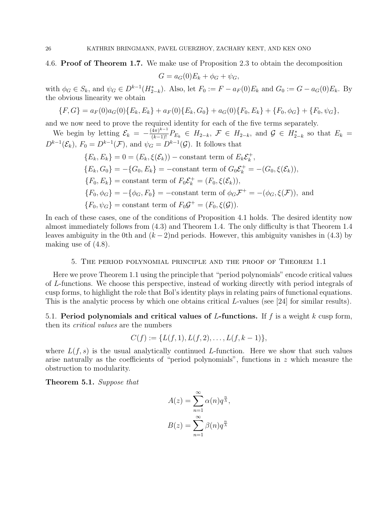# 4.6. Proof of Theorem 1.7. We make use of Proposition 2.3 to obtain the decomposition

$$
G = a_G(0)E_k + \phi_G + \psi_G,
$$

with  $\phi_G \in S_k$ , and  $\psi_G \in D^{k-1}(H_{2-k}^*)$ . Also, let  $F_0 := F - a_F(0)E_k$  and  $G_0 := G - a_G(0)E_k$ . By the obvious linearity we obtain

$$
{F, G} = a_F(0)a_G(0){E_k, E_k} + a_F(0){E_k, G_0} + a_G(0){F_0, E_k} + {F_0, \phi_G} + {F_0, \psi_G},
$$

and we now need to prove the required identity for each of the five terms separately.

We begin by letting  $\mathcal{E}_k = -\frac{(4\pi)^{k-1}}{(k-1)!} P_{E_k} \in H_{2-k}, \mathcal{F} \in H_{2-k}$ , and  $\mathcal{G} \in H_{2-k}^*$  so that  $E_k =$  $D^{k-1}(\mathcal{E}_k)$ ,  $F_0 = D^{k-1}(\mathcal{F})$ , and  $\psi_G = D^{k-1}(\mathcal{G})$ . It follows that

$$
\{E_k, E_k\} = 0 = (E_k, \xi(\mathcal{E}_k)) - \text{constant term of } E_k \mathcal{E}_k^+,
$$
  
\n
$$
\{E_k, G_0\} = -\{G_0, E_k\} = -\text{constant term of } G_0 \mathcal{E}_k^+ = -(G_0, \xi(\mathcal{E}_k)),
$$
  
\n
$$
\{F_0, E_k\} = \text{constant term of } F_0 \mathcal{E}_k^+ = (F_0, \xi(\mathcal{E}_k)),
$$
  
\n
$$
\{F_0, \phi_G\} = -\{\phi_G, F_0\} = -\text{constant term of } \phi_G \mathcal{F}^+ = -(\phi_G, \xi(\mathcal{F})), \text{ and}
$$
  
\n
$$
\{F_0, \psi_G\} = \text{constant term of } F_0 \mathcal{G}^+ = (F_0, \xi(\mathcal{G})).
$$

In each of these cases, one of the conditions of Proposition 4.1 holds. The desired identity now almost immediately follows from (4.3) and Theorem 1.4. The only difficulty is that Theorem 1.4 leaves ambiguity in the 0th and  $(k-2)$ nd periods. However, this ambiguity vanishes in (4.3) by making use of (4.8).

### 5. The period polynomial principle and the proof of Theorem 1.1

Here we prove Theorem 1.1 using the principle that "period polynomials" encode critical values of L-functions. We choose this perspective, instead of working directly with period integrals of cusp forms, to highlight the role that Bol's identity plays in relating pairs of functional equations. This is the analytic process by which one obtains critical L-values (see [24] for similar results).

5.1. Period polynomials and critical values of L-functions. If  $f$  is a weight  $k$  cusp form, then its critical values are the numbers

$$
C(f) := \{L(f, 1), L(f, 2), \ldots, L(f, k-1)\},\
$$

where  $L(f, s)$  is the usual analytically continued L-function. Here we show that such values arise naturally as the coefficients of "period polynomials", functions in z which measure the obstruction to modularity.

Theorem 5.1. Suppose that

$$
A(z) = \sum_{n=1}^{\infty} \alpha(n) q^{\frac{n}{\lambda}},
$$

$$
B(z) = \sum_{n=1}^{\infty} \beta(n) q^{\frac{n}{\lambda}}
$$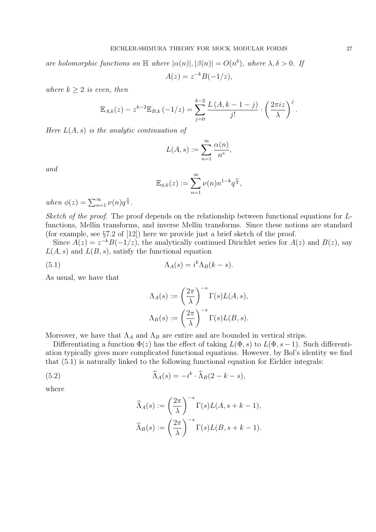are holomorphic functions on  $\mathbb{H}$  where  $|\alpha(n)|, |\beta(n)| = O(n^{\delta})$ , where  $\lambda, \delta > 0$ . If  $A(z) = z^{-k}B(-1/z),$ 

where  $k \geq 2$  is even, then

$$
\mathbb{E}_{A,k}(z) - z^{k-2} \mathbb{E}_{B,k} (-1/z) = \sum_{j=0}^{k-2} \frac{L(A, k-1-j)}{j!} \cdot \left(\frac{2\pi i z}{\lambda}\right)^j.
$$

Here  $L(A, s)$  is the analytic continuation of

$$
L(A,s) := \sum_{n=1}^{\infty} \frac{\alpha(n)}{n^s},
$$

and

$$
\mathbb{E}_{\phi,k}(z) := \sum_{n=1}^{\infty} \nu(n) n^{1-k} q^{\frac{n}{\lambda}},
$$

when  $\phi(z) = \sum_{n=1}^{\infty} \nu(n) q^{\frac{n}{\lambda}}$ .

Sketch of the proof. The proof depends on the relationship between functional equations for Lfunctions, Mellin transforms, and inverse Mellin transforms. Since these notions are standard (for example, see §7.2 of [12]) here we provide just a brief sketch of the proof.

Since  $A(z) = z^{-k}B(-1/z)$ , the analytically continued Dirichlet series for  $A(z)$  and  $B(z)$ , say  $L(A, s)$  and  $L(B, s)$ , satisfy the functional equation

(5.1) 
$$
\Lambda_A(s) = i^k \Lambda_B(k-s).
$$

As usual, we have that

$$
\Lambda_A(s) := \left(\frac{2\pi}{\lambda}\right)^{-s} \Gamma(s) L(A, s),
$$
  

$$
\Lambda_B(s) := \left(\frac{2\pi}{\lambda}\right)^{-s} \Gamma(s) L(B, s).
$$

Moreover, we have that  $\Lambda_A$  and  $\Lambda_B$  are entire and are bounded in vertical strips.

Differentiating a function  $\Phi(z)$  has the effect of taking  $L(\Phi, s)$  to  $L(\Phi, s-1)$ . Such differentiation typically gives more complicated functional equations. However, by Bol's identity we find that (5.1) is naturally linked to the following functional equation for Eichler integrals:

(5.2) 
$$
\widehat{\Lambda}_A(s) = -i^k \cdot \widehat{\Lambda}_B(2 - k - s),
$$

where

$$
\widehat{\Lambda}_A(s) := \left(\frac{2\pi}{\lambda}\right)^{-s} \Gamma(s) L(A, s + k - 1),
$$
  

$$
\widehat{\Lambda}_B(s) := \left(\frac{2\pi}{\lambda}\right)^{-s} \Gamma(s) L(B, s + k - 1).
$$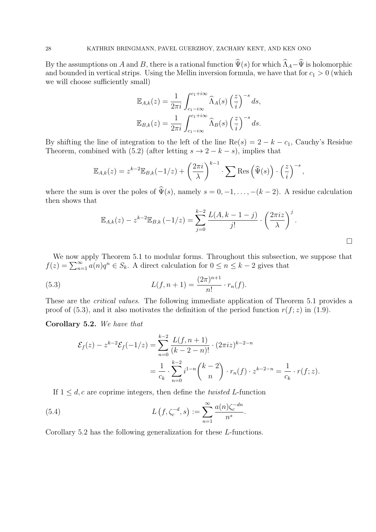By the assumptions on A and B, there is a rational function  $\hat{\Psi}(s)$  for which  $\hat{\Lambda}_A-\hat{\Psi}$  is holomorphic and bounded in vertical strips. Using the Mellin inversion formula, we have that for  $c_1 > 0$  (which we will choose sufficiently small)

$$
\mathbb{E}_{A,k}(z) = \frac{1}{2\pi i} \int_{c_1 - i\infty}^{c_1 + i\infty} \widehat{\Lambda}_A(s) \left(\frac{z}{i}\right)^{-s} ds,
$$
  

$$
\mathbb{E}_{B,k}(z) = \frac{1}{2\pi i} \int_{c_1 - i\infty}^{c_1 + i\infty} \widehat{\Lambda}_B(s) \left(\frac{z}{i}\right)^{-s} ds.
$$

By shifting the line of integration to the left of the line Re(s) =  $2 - k - c_1$ , Cauchy's Residue Theorem, combined with (5.2) (after letting  $s \to 2-k-s$ ), implies that

$$
\mathbb{E}_{A,k}(z) = z^{k-2} \mathbb{E}_{B,k}(-1/z) + \left(\frac{2\pi i}{\lambda}\right)^{k-1} \cdot \sum \text{Res}\left(\widehat{\Psi}(s)\right) \cdot \left(\frac{z}{i}\right)^{-s},
$$

where the sum is over the poles of  $\hat{\Psi}(s)$ , namely  $s = 0, -1, \ldots, -(k-2)$ . A residue calculation then shows that

$$
\mathbb{E}_{A,k}(z) - z^{k-2} \mathbb{E}_{B,k}(-1/z) = \sum_{j=0}^{k-2} \frac{L(A,k-1-j)}{j!} \cdot \left(\frac{2\pi iz}{\lambda}\right)^j.
$$

We now apply Theorem 5.1 to modular forms. Throughout this subsection, we suppose that  $f(z) = \sum_{n=1}^{\infty} a(n)q^n \in S_k$ . A direct calculation for  $0 \leq n \leq k-2$  gives that

(5.3) 
$$
L(f, n+1) = \frac{(2\pi)^{n+1}}{n!} \cdot r_n(f).
$$

These are the critical values. The following immediate application of Theorem 5.1 provides a proof of (5.3), and it also motivates the definition of the period function  $r(f; z)$  in (1.9).

### Corollary 5.2. We have that

$$
\mathcal{E}_f(z) - z^{k-2} \mathcal{E}_f(-1/z) = \sum_{n=0}^{k-2} \frac{L(f, n+1)}{(k-2-n)!} \cdot (2\pi i z)^{k-2-n}
$$

$$
= \frac{1}{c_k} \cdot \sum_{n=0}^{k-2} i^{1-n} {k-2 \choose n} \cdot r_n(f) \cdot z^{k-2-n} = \frac{1}{c_k} \cdot r(f; z).
$$

If  $1 \leq d$ , c are coprime integers, then define the *twisted L*-function

(5.4) 
$$
L(f, \zeta_c^{-d}, s) := \sum_{n=1}^{\infty} \frac{a(n)\zeta_c^{-dn}}{n^s}.
$$

Corollary 5.2 has the following generalization for these L-functions.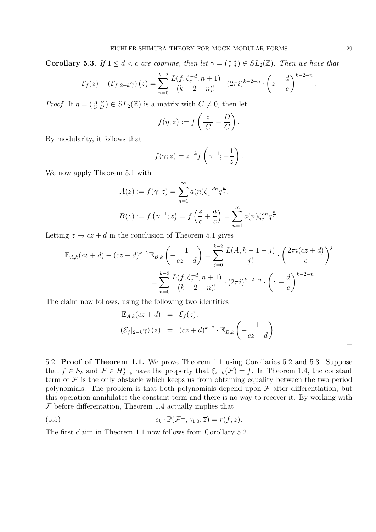**Corollary 5.3.** If  $1 \leq d < c$  are coprime, then let  $\gamma = \begin{pmatrix} * & * \\ c & d \end{pmatrix} \in SL_2(\mathbb{Z})$ . Then we have that

$$
\mathcal{E}_f(z) - \left(\mathcal{E}_f|_{2-k}\gamma\right)(z) = \sum_{n=0}^{k-2} \frac{L(f, \zeta_c^{-d}, n+1)}{(k-2-n)!} \cdot (2\pi i)^{k-2-n} \cdot \left(z + \frac{d}{c}\right)^{k-2-n}.
$$

*Proof.* If  $\eta = \begin{pmatrix} A & B \\ C & D \end{pmatrix} \in SL_2(\mathbb{Z})$  is a matrix with  $C \neq 0$ , then let

$$
f(\eta; z) := f\left(\frac{z}{|C|} - \frac{D}{C}\right).
$$

By modularity, it follows that

$$
f(\gamma; z) = z^{-k} f\left(\gamma^{-1}; -\frac{1}{z}\right).
$$

We now apply Theorem 5.1 with

$$
A(z) := f(\gamma; z) = \sum_{n=1}^{\infty} a(n) \zeta_c^{-dn} q^{\frac{n}{c}},
$$
  

$$
B(z) := f(\gamma^{-1}; z) = f\left(\frac{z}{c} + \frac{a}{c}\right) = \sum_{n=1}^{\infty} a(n) \zeta_c^{an} q^{\frac{n}{c}}.
$$

Letting  $z \to cz + d$  in the conclusion of Theorem 5.1 gives

$$
\mathbb{E}_{A,k}(cz+d) - (cz+d)^{k-2}\mathbb{E}_{B,k}\left(-\frac{1}{cz+d}\right) = \sum_{j=0}^{k-2} \frac{L(A,k-1-j)}{j!} \cdot \left(\frac{2\pi i(cz+d)}{c}\right)^j
$$

$$
= \sum_{n=0}^{k-2} \frac{L(f,\zeta_c^{-d},n+1)}{(k-2-n)!} \cdot (2\pi i)^{k-2-n} \cdot \left(z+\frac{d}{c}\right)^{k-2-n}.
$$

The claim now follows, using the following two identities

$$
\mathbb{E}_{A,k}(cz+d) = \mathcal{E}_f(z),
$$
  

$$
(\mathcal{E}_f|_{2-k}\gamma)(z) = (cz+d)^{k-2} \cdot \mathbb{E}_{B,k}\left(-\frac{1}{cz+d}\right).
$$

5.2. Proof of Theorem 1.1. We prove Theorem 1.1 using Corollaries 5.2 and 5.3. Suppose that  $f \in S_k$  and  $\mathcal{F} \in H_{2-k}^*$  have the property that  $\xi_{2-k}(\mathcal{F}) = f$ . In Theorem 1.4, the constant term of  $\mathcal F$  is the only obstacle which keeps us from obtaining equality between the two period polynomials. The problem is that both polynomials depend upon  $\mathcal F$  after differentiation, but this operation annihilates the constant term and there is no way to recover it. By working with  $F$  before differentation, Theorem 1.4 actually implies that

(5.5) 
$$
c_k \cdot \overline{\mathbb{P}(\mathcal{F}^+, \gamma_{1,0}; \overline{z})} = r(f; z).
$$

The first claim in Theorem 1.1 now follows from Corollary 5.2.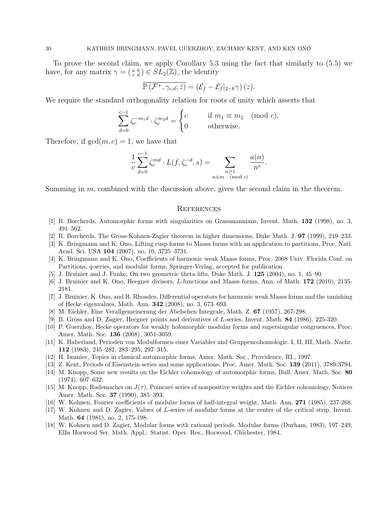To prove the second claim, we apply Corollary 5.3 using the fact that similarly to (5.5) we have, for any matrix  $\gamma = \begin{pmatrix} a & b \\ c & d \end{pmatrix} \in SL_2(\mathbb{Z})$ , the identity

$$
\overline{\mathbb{P}\left(\mathcal{F}^+,\gamma_{c,d};\bar{z}\right)}=\left(\mathcal{E}_f-\mathcal{E}_f|_{2-k}\gamma\right)(z).
$$

We require the standard orthogonality relation for roots of unity which asserts that

$$
\sum_{d=0}^{c-1} \zeta_c^{-m_1 d} \cdot \zeta_c^{m_2 d} = \begin{cases} c & \text{if } m_1 \equiv m_2 \pmod{c}, \\ 0 & \text{otherwise.} \end{cases}
$$

Therefore, if  $gcd(m, c) = 1$ , we have that

$$
\frac{1}{c} \sum_{d=0}^{c-1} \zeta_c^{md} \cdot L(f, \zeta_c^{-d}, s) = \sum_{\substack{n \geq 1 \\ n \equiv m \pmod{c}}} \frac{a(n)}{n^s}.
$$

Summing in m, combined with the discussion above, gives the second claim in the theorem.

#### **REFERENCES**

- [1] R. Borcherds, Automorphic forms with singularities on Grassmannians, Invent. Math. 132 (1998), no. 3, 491–562.
- [2] R. Borcherds, The Gross-Kohnen-Zagier theorem in higher dimensions, Duke Math. J. 97 (1999), 219–233.
- [3] K. Bringmann and K. Ono, Lifting cusp forms to Maass forms with an application to partitions, Proc. Natl. Acad. Sci. USA 104 (2007), no. 10, 3725–3731.
- [4] K. Bringmann and K. Ono, Coefficients of harmonic weak Maass forms, Proc. 2008 Univ. Florida Conf. on Partitions, q-series, and modular forms, Springer-Verlag, accepted for publication.
- [5] J. Bruinier and J. Funke, On two geometric theta lifts, Duke Math. J. 125 (2004), no. 1, 45–90.
- [6] J. Bruinier and K. Ono, Heegner divisors, L-functions and Maass forms, Ann. of Math. 172 (2010), 2135- 2181.
- [7] J. Bruinier, K. Ono, and R. Rhoades, Differential operators for harmonic weak Maass forms and the vanishing of Hecke eigenvalues, Math. Ann. 342 (2008), no. 3, 673–693.
- [8] M. Eichler, Eine Verallgemeinerung der Abelschen Integrale, Math. Z. 67 (1957), 267-298.
- [9] B. Gross and D. Zagier, Heegner points and derivatives of L-series, Invent. Math. 84 (1986), 225-320.
- [10] P. Guerzhoy, Hecke operators for weakly holomorphic modular forms and supersingular congruences, Proc. Amer. Math. Soc. 136 (2008), 3051-3059.
- [11] K. Haberland, Perioden von Modulformen einer Variabler and Gruppencohomologie. I, II, III, Math. Nachr. 112 (1983), 245–282, 283–295, 297–315.
- [12] H. Iwaniec, Topics in classical automorphic forms, Amer. Math. Soc., Providence, RI., 1997.
- [13] Z. Kent, Periods of Eisenstein series and some applications, Proc. Amer. Math. Soc. 139 (2011), 3789-3794.
- [14] M. Knopp, Some new results on the Eichler cohomology of automorphic forms, Bull. Amer. Math. Soc. 80 (1974), 607–632.
- [15] M. Knopp, Rademacher on  $J(\tau)$ , Poincaré series of nonpositive weights and the Eichler cohomology, Notices Amer. Math. Soc. 37 (1990), 385–393.
- [16] W. Kohnen, Fourier coefficients of modular forms of half-integral weight, Math. Ann. 271 (1985), 237-268.
- [17] W. Kohnen and D. Zagier, Values of L-series of modular forms at the center of the critical strip, Invent. Math. 64 (1981), no. 2, 175-198.
- [18] W. Kohnen and D. Zagier, Modular forms with rational periods. Modular forms (Durham, 1983), 197–249, Ellis Horwood Ser. Math. Appl.: Statist. Oper. Res., Horwood, Chichester, 1984.